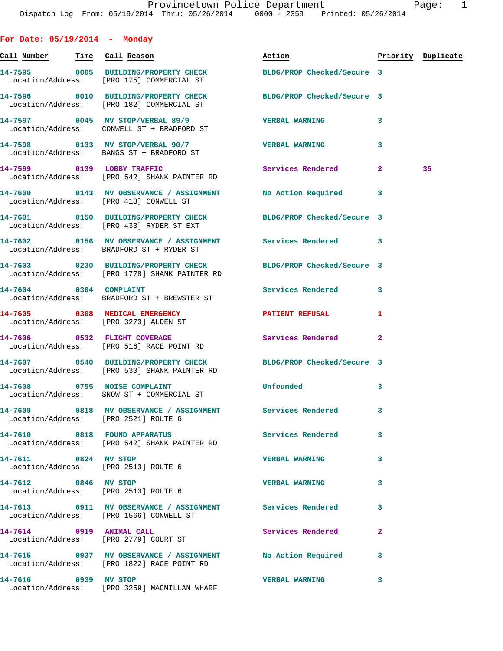| For Date: $05/19/2014$ - Monday       |                                                                                                                 |                                                                                                                                                                                                                                |                |                    |
|---------------------------------------|-----------------------------------------------------------------------------------------------------------------|--------------------------------------------------------------------------------------------------------------------------------------------------------------------------------------------------------------------------------|----------------|--------------------|
| <u>Call Number — Time Call Reason</u> |                                                                                                                 | Action and the set of the set of the set of the set of the set of the set of the set of the set of the set of the set of the set of the set of the set of the set of the set of the set of the set of the set of the set of th |                | Priority Duplicate |
|                                       | 14-7595 0005 BUILDING/PROPERTY CHECK BLDG/PROP Checked/Secure 3<br>Location/Address: [PRO 175] COMMERCIAL ST    |                                                                                                                                                                                                                                |                |                    |
|                                       | 14-7596 0010 BUILDING/PROPERTY CHECK BLDG/PROP Checked/Secure 3<br>Location/Address: [PRO 182] COMMERCIAL ST    |                                                                                                                                                                                                                                |                |                    |
|                                       | 14-7597 0045 MV STOP/VERBAL 89/9<br>Location/Address: CONWELL ST + BRADFORD ST                                  | <b>VERBAL WARNING</b>                                                                                                                                                                                                          | 3              |                    |
|                                       | 14-7598 0133 MV STOP/VERBAL 90/7 VERBAL WARNING<br>Location/Address: BANGS ST + BRADFORD ST                     |                                                                                                                                                                                                                                | 3              |                    |
|                                       | 14-7599 0139 LOBBY TRAFFIC<br>Location/Address: [PRO 542] SHANK PAINTER RD                                      | Services Rendered                                                                                                                                                                                                              | $\mathbf{2}$   | 35                 |
|                                       | 14-7600 0143 MV OBSERVANCE / ASSIGNMENT No Action Required<br>Location/Address: [PRO 413] CONWELL ST            |                                                                                                                                                                                                                                | 3              |                    |
|                                       | 14-7601 0150 BUILDING/PROPERTY CHECK BLDG/PROP Checked/Secure 3<br>Location/Address: [PRO 433] RYDER ST EXT     |                                                                                                                                                                                                                                |                |                    |
|                                       | 14-7602   0156 MV OBSERVANCE / ASSIGNMENT   Services Rendered<br>Location/Address: BRADFORD ST + RYDER ST       |                                                                                                                                                                                                                                | 3              |                    |
|                                       | 14-7603 0230 BUILDING/PROPERTY CHECK<br>Location/Address: [PRO 1778] SHANK PAINTER RD                           | BLDG/PROP Checked/Secure 3                                                                                                                                                                                                     |                |                    |
|                                       | 14-7604 0304 COMPLAINT<br>Location/Address: BRADFORD ST + BREWSTER ST                                           | <b>Services Rendered</b>                                                                                                                                                                                                       | 3              |                    |
|                                       | 14-7605 0308 MEDICAL EMERGENCY<br>Location/Address: [PRO 3273] ALDEN ST                                         | PATIENT REFUSAL                                                                                                                                                                                                                | 1              |                    |
|                                       | 14-7606 0532 FLIGHT COVERAGE<br>Location/Address: [PRO 516] RACE POINT RD                                       | Services Rendered                                                                                                                                                                                                              | $\overline{a}$ |                    |
|                                       | 14-7607 0540 BUILDING/PROPERTY CHECK BLDG/PROP Checked/Secure 3<br>Location/Address: [PRO 530] SHANK PAINTER RD |                                                                                                                                                                                                                                |                |                    |
|                                       | 14-7608 0755 NOISE COMPLAINT<br>Location/Address: SNOW ST + COMMERCIAL ST                                       | Unfounded                                                                                                                                                                                                                      | 3              |                    |
|                                       | 14-7609 0818 MV OBSERVANCE / ASSIGNMENT Services Rendered<br>Location/Address: [PRO 2521] ROUTE 6               |                                                                                                                                                                                                                                | 3              |                    |
|                                       | 14-7610 0818 FOUND APPARATUS<br>Location/Address: [PRO 542] SHANK PAINTER RD                                    | Services Rendered                                                                                                                                                                                                              | 3              |                    |
| 14-7611 0824 MV STOP                  | Location/Address: [PRO 2513] ROUTE 6                                                                            | <b>VERBAL WARNING</b>                                                                                                                                                                                                          | 3              |                    |
|                                       | 14-7612 0846 MV STOP<br>Location/Address: [PRO 2513] ROUTE 6                                                    | <b>VERBAL WARNING</b>                                                                                                                                                                                                          | 3              |                    |
|                                       | 14-7613 0911 MV OBSERVANCE / ASSIGNMENT Services Rendered<br>Location/Address: [PRO 1566] CONWELL ST            |                                                                                                                                                                                                                                | 3              |                    |
|                                       | 14-7614 0919 ANIMAL CALL<br>Location/Address: [PRO 2779] COURT ST                                               | <b>Services Rendered</b>                                                                                                                                                                                                       | $\overline{a}$ |                    |
|                                       | 14-7615 0937 MV OBSERVANCE / ASSIGNMENT No Action Required<br>Location/Address: [PRO 1822] RACE POINT RD        |                                                                                                                                                                                                                                | 3              |                    |
| 14-7616 0939 MV STOP                  | Location/Address: [PRO 3259] MACMILLAN WHARF                                                                    | <b>VERBAL WARNING</b>                                                                                                                                                                                                          | 3              |                    |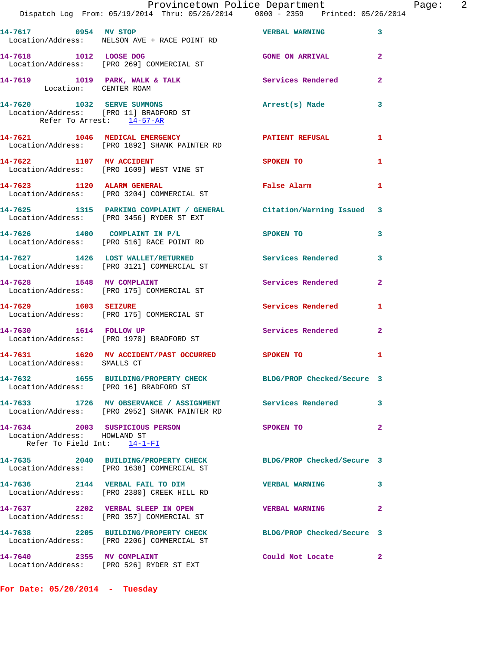|                                                             | Dispatch Log From: 05/19/2014 Thru: 05/26/2014 0000 - 2359 Printed: 05/26/2014                                  | Provincetown Police Department |                | Page: 2 |  |
|-------------------------------------------------------------|-----------------------------------------------------------------------------------------------------------------|--------------------------------|----------------|---------|--|
| 14-7617 0954 MV STOP                                        | Location/Address: NELSON AVE + RACE POINT RD                                                                    | <b>VERBAL WARNING 3</b>        |                |         |  |
| 14-7618 1012 LOOSE DOG                                      | Location/Address: [PRO 269] COMMERCIAL ST                                                                       | <b>GONE ON ARRIVAL</b> 2       |                |         |  |
|                                                             | 14-7619 1019 PARK, WALK & TALK Services Rendered 2<br>Location: CENTER ROAM                                     |                                |                |         |  |
| Refer To Arrest: 14-57-AR                                   | 14-7620 1032 SERVE SUMMONS 14-7620 Arrest(s) Made<br>Location/Address: [PRO 11] BRADFORD ST                     |                                | 3              |         |  |
|                                                             | 14-7621 1046 MEDICAL EMERGENCY 1 PATIENT REFUSAL 1<br>Location/Address: [PRO 1892] SHANK PAINTER RD             |                                |                |         |  |
|                                                             | 14-7622 1107 MV ACCIDENT<br>Location/Address: [PRO 1609] WEST VINE ST                                           | SPOKEN TO                      | 1              |         |  |
|                                                             | 14-7623 1120 ALARM GENERAL THE False Alarm<br>Location/Address: [PRO 3204] COMMERCIAL ST                        |                                | $\mathbf{1}$   |         |  |
|                                                             | 14-7625 1315 PARKING COMPLAINT / GENERAL Citation/Warning Issued 3<br>Location/Address: [PRO 3456] RYDER ST EXT |                                |                |         |  |
|                                                             | 14-7626 1400 COMPLAINT IN P/L SPOKEN TO<br>Location/Address: [PRO 516] RACE POINT RD                            |                                | $\mathbf{3}$   |         |  |
|                                                             | 14-7627 1426 LOST WALLET/RETURNED Services Rendered 3<br>Location/Address: [PRO 3121] COMMERCIAL ST             |                                |                |         |  |
|                                                             | 14-7628 1548 MV COMPLAINT<br>Location/Address: [PRO 175] COMMERCIAL ST                                          | Services Rendered 2            |                |         |  |
|                                                             | 14-7629 1603 SEIZURE<br>Location/Address: [PRO 175] COMMERCIAL ST                                               | Services Rendered              | 1              |         |  |
|                                                             | 14-7630 1614 FOLLOW UP<br>Location/Address: [PRO 1970] BRADFORD ST                                              | Services Rendered              | $\overline{2}$ |         |  |
| Location/Address: SMALLS CT                                 | 14-7631 1620 MV ACCIDENT/PAST OCCURRED SPOKEN TO                                                                |                                | 1              |         |  |
|                                                             | 14-7632 1655 BUILDING/PROPERTY CHECK BLDG/PROP Checked/Secure 3<br>Location/Address: [PRO 16] BRADFORD ST       |                                |                |         |  |
|                                                             | 14-7633 1726 MV OBSERVANCE / ASSIGNMENT Services Rendered 3<br>Location/Address: [PRO 2952] SHANK PAINTER RD    |                                |                |         |  |
| Location/Address: HOWLAND ST<br>Refer To Field Int: 14-1-FI | 14-7634 2003 SUSPICIOUS PERSON                                                                                  | SPOKEN TO                      | $\overline{a}$ |         |  |
|                                                             | 14-7635 2040 BUILDING/PROPERTY CHECK<br>Location/Address: [PRO 1638] COMMERCIAL ST                              | BLDG/PROP Checked/Secure 3     |                |         |  |
|                                                             | 14-7636 2144 VERBAL FAIL TO DIM<br>Location/Address: [PRO 2380] CREEK HILL RD                                   | <b>VERBAL WARNING</b>          | 3              |         |  |
|                                                             | 14-7637 2202 VERBAL SLEEP IN OPEN<br>Location/Address: [PRO 357] COMMERCIAL ST                                  | <b>VERBAL WARNING</b>          | $\mathbf{2}$   |         |  |
|                                                             | 14-7638 2205 BUILDING/PROPERTY CHECK BLDG/PROP Checked/Secure 3<br>Location/Address: [PRO 2206] COMMERCIAL ST   |                                |                |         |  |
|                                                             | 14-7640 2355 MV COMPLAINT<br>Location/Address: [PRO 526] RYDER ST EXT                                           | Could Not Locate 2             |                |         |  |
|                                                             |                                                                                                                 |                                |                |         |  |

**For Date: 05/20/2014 - Tuesday**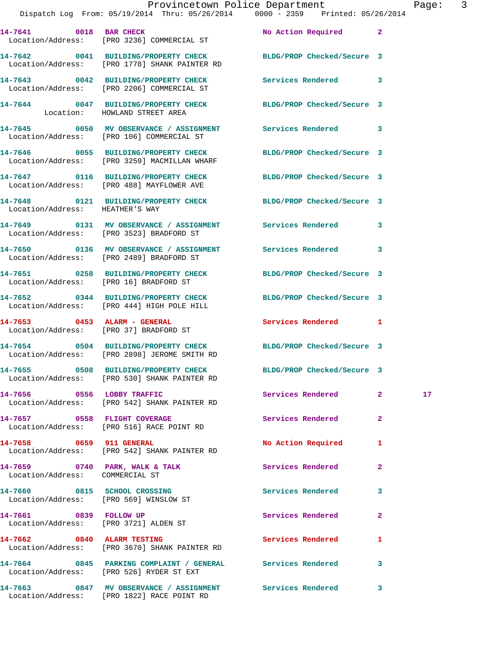|                                                                        | Provincetown Police Department<br>Dispatch Log From: 05/19/2014 Thru: 05/26/2014   0000 - 2359   Printed: 05/26/2014 |                            |                | Page            |
|------------------------------------------------------------------------|----------------------------------------------------------------------------------------------------------------------|----------------------------|----------------|-----------------|
|                                                                        | 14-7641 0018 BAR CHECK<br>Location/Address: [PRO 3236] COMMERCIAL ST                                                 | No Action Required 2       |                |                 |
|                                                                        | 14-7642 0041 BUILDING/PROPERTY CHECK BLDG/PROP Checked/Secure 3<br>Location/Address: [PRO 1778] SHANK PAINTER RD     |                            |                |                 |
|                                                                        | 14-7643 0042 BUILDING/PROPERTY CHECK Services Rendered 3<br>Location/Address: [PRO 2206] COMMERCIAL ST               |                            |                |                 |
|                                                                        | 14-7644 0047 BUILDING/PROPERTY CHECK BLDG/PROP Checked/Secure 3<br>Location: HOWLAND STREET AREA                     |                            |                |                 |
|                                                                        | 14-7645 0050 MV OBSERVANCE / ASSIGNMENT Services Rendered 3<br>Location/Address: [PRO 106] COMMERCIAL ST             |                            |                |                 |
|                                                                        | 14-7646 0055 BUILDING/PROPERTY CHECK BLDG/PROP Checked/Secure 3<br>Location/Address: [PRO 3259] MACMILLAN WHARF      |                            |                |                 |
|                                                                        | 14-7647 0116 BUILDING/PROPERTY CHECK<br>Location/Address: [PRO 488] MAYFLOWER AVE                                    | BLDG/PROP Checked/Secure 3 |                |                 |
| Location/Address: HEATHER'S WAY                                        | 14-7648 0121 BUILDING/PROPERTY CHECK BLDG/PROP Checked/Secure 3                                                      |                            |                |                 |
|                                                                        | 14-7649 0131 MV OBSERVANCE / ASSIGNMENT Services Rendered 3<br>Location/Address: [PRO 3523] BRADFORD ST              |                            |                |                 |
|                                                                        | Location/Address: [PRO 2489] BRADFORD ST                                                                             |                            | 3              |                 |
|                                                                        | 14-7651 0258 BUILDING/PROPERTY CHECK BLDG/PROP Checked/Secure 3<br>Location/Address: [PRO 16] BRADFORD ST            |                            |                |                 |
|                                                                        | 14-7652 0344 BUILDING/PROPERTY CHECK BLDG/PROP Checked/Secure 3<br>Location/Address: [PRO 444] HIGH POLE HILL        |                            |                |                 |
|                                                                        | 14-7653 0453 ALARM - GENERAL<br>Location/Address: [PRO 37] BRADFORD ST                                               | Services Rendered 1        |                |                 |
|                                                                        | 14-7654 0504 BUILDING/PROPERTY CHECK BLDG/PROP Checked/Secure 3<br>Location/Address: [PRO 2898] JEROME SMITH RD      |                            |                |                 |
|                                                                        | 14-7655 0508 BUILDING/PROPERTY CHECK<br>Location/Address: [PRO 530] SHANK PAINTER RD                                 | BLDG/PROP Checked/Secure 3 |                |                 |
| 14-7656 0556 LOBBY TRAFFIC                                             | Location/Address: [PRO 542] SHANK PAINTER RD                                                                         | Services Rendered          | $\mathbf{2}$   | 17 <sub>2</sub> |
| 14-7657 0558 FLIGHT COVERAGE                                           | Location/Address: [PRO 516] RACE POINT RD                                                                            | Services Rendered          | $\overline{a}$ |                 |
| 14-7658 0659 911 GENERAL                                               | Location/Address: [PRO 542] SHANK PAINTER RD                                                                         | No Action Required         | 1              |                 |
| 14-7659 0740 PARK, WALK & TALK<br>Location/Address: COMMERCIAL ST      |                                                                                                                      | Services Rendered          | $\mathbf{2}$   |                 |
| 14-7660 0815 SCHOOL CROSSING<br>Location/Address: [PRO 569] WINSLOW ST |                                                                                                                      | Services Rendered          | 3              |                 |
| 14-7661 0839 FOLLOW UP<br>Location/Address: [PRO 3721] ALDEN ST        |                                                                                                                      | Services Rendered          | $\mathbf{2}$   |                 |
|                                                                        | 14-7662 0840 ALARM TESTING<br>Location/Address: [PRO 3670] SHANK PAINTER RD                                          | Services Rendered          | 1              |                 |
|                                                                        | 14-7664 0845 PARKING COMPLAINT / GENERAL Services Rendered 3<br>Location/Address: [PRO 526] RYDER ST EXT             |                            |                |                 |

**14-7663 0847 MV OBSERVANCE / ASSIGNMENT Services Rendered 3**  Location/Address: [PRO 1822] RACE POINT RD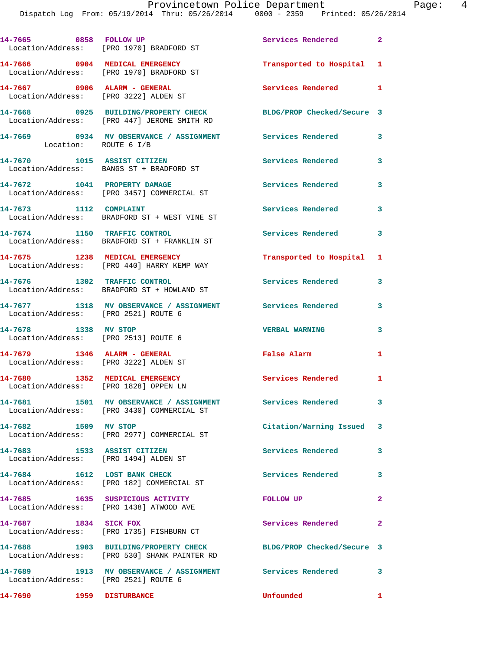| 14-7665 0858 FOLLOW UP                                                  | Location/Address: [PRO 1970] BRADFORD ST                                                                | Services Rendered 2        |              |
|-------------------------------------------------------------------------|---------------------------------------------------------------------------------------------------------|----------------------------|--------------|
|                                                                         | 14-7666 0904 MEDICAL EMERGENCY<br>Location/Address: [PRO 1970] BRADFORD ST                              | Transported to Hospital 1  |              |
| 14-7667 0906 ALARM - GENERAL<br>Location/Address: [PRO 3222] ALDEN ST   |                                                                                                         | Services Rendered 1        |              |
|                                                                         | 14-7668 0925 BUILDING/PROPERTY CHECK<br>Location/Address: [PRO 447] JEROME SMITH RD                     | BLDG/PROP Checked/Secure 3 |              |
| Location: ROUTE 6 I/B                                                   | 14-7669 0934 MV OBSERVANCE / ASSIGNMENT Services Rendered                                               |                            | $\mathbf{3}$ |
| 14-7670 1015 ASSIST CITIZEN                                             | Location/Address: BANGS ST + BRADFORD ST                                                                | <b>Services Rendered</b>   | 3            |
|                                                                         | 14-7672 1041 PROPERTY DAMAGE<br>Location/Address: [PRO 3457] COMMERCIAL ST                              | <b>Services Rendered</b>   | $\mathbf{3}$ |
| 14-7673 1112 COMPLAINT                                                  | Location/Address: BRADFORD ST + WEST VINE ST                                                            | <b>Services Rendered</b>   | $\mathbf{3}$ |
|                                                                         | 14-7674 1150 TRAFFIC CONTROL<br>Location/Address: BRADFORD ST + FRANKLIN ST                             | <b>Services Rendered</b>   | 3            |
|                                                                         | 14-7675 1238 MEDICAL EMERGENCY<br>Location/Address: [PRO 440] HARRY KEMP WAY                            | Transported to Hospital 1  |              |
|                                                                         | 14-7676 1302 TRAFFIC CONTROL<br>Location/Address: BRADFORD ST + HOWLAND ST                              | Services Rendered          | 3            |
| Location/Address: [PRO 2521] ROUTE 6                                    | 14-7677 1318 MV OBSERVANCE / ASSIGNMENT                                                                 | Services Rendered          | 3            |
| 14-7678 1338 MV STOP<br>Location/Address: [PRO 2513] ROUTE 6            |                                                                                                         | <b>VERBAL WARNING</b>      | 3            |
| 14-7679 1346 ALARM - GENERAL<br>Location/Address: [PRO 3222] ALDEN ST   |                                                                                                         | False Alarm                | 1            |
| 14-7680 1352 MEDICAL EMERGENCY<br>Location/Address: [PRO 1828] OPPEN LN |                                                                                                         | <b>Services Rendered</b>   | $\mathbf{1}$ |
|                                                                         | 14-7681 1501 MV OBSERVANCE / ASSIGNMENT Services Rendered<br>Location/Address: [PRO 3430] COMMERCIAL ST |                            | $\mathbf{3}$ |
| 14-7682 1509 MV STOP                                                    | Location/Address: [PRO 2977] COMMERCIAL ST                                                              | Citation/Warning Issued    | 3            |
| 14-7683 1533 ASSIST CITIZEN                                             | Location/Address: [PRO 1494] ALDEN ST                                                                   | <b>Services Rendered</b>   | 3            |
|                                                                         | 14-7684 1612 LOST BANK CHECK<br>Location/Address: [PRO 182] COMMERCIAL ST                               | <b>Services Rendered</b>   | 3            |
|                                                                         | 14-7685 1635 SUSPICIOUS ACTIVITY<br>Location/Address: [PRO 1438] ATWOOD AVE                             | FOLLOW UP                  | $\mathbf{2}$ |
| 14-7687 1834 SICK FOX                                                   | Location/Address: [PRO 1735] FISHBURN CT                                                                | Services Rendered          | $\mathbf{2}$ |
|                                                                         | 14-7688 1903 BUILDING/PROPERTY CHECK<br>Location/Address: [PRO 530] SHANK PAINTER RD                    | BLDG/PROP Checked/Secure 3 |              |
| Location/Address: [PRO 2521] ROUTE 6                                    | 14-7689 1913 MV OBSERVANCE / ASSIGNMENT Services Rendered                                               |                            | $\mathbf{3}$ |
| 14-7690 1959 DISTURBANCE                                                |                                                                                                         | Unfounded                  | $\mathbf{1}$ |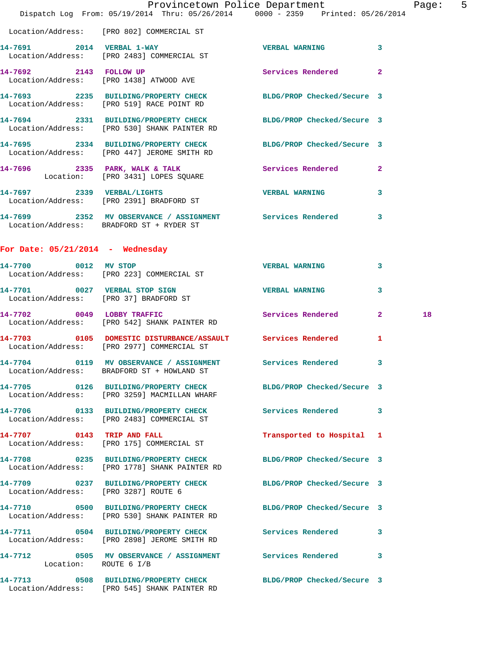|                                    | Provincetown Police Department The Rage: 5                                                                           |                           |   |    |  |
|------------------------------------|----------------------------------------------------------------------------------------------------------------------|---------------------------|---|----|--|
|                                    | Dispatch Log From: 05/19/2014 Thru: 05/26/2014 0000 - 2359 Printed: 05/26/2014                                       |                           |   |    |  |
|                                    | Location/Address: [PRO 802] COMMERCIAL ST                                                                            |                           |   |    |  |
|                                    | 14-7691 2014 VERBAL 1-WAY VERBAL WARNING 3<br>Location/Address: [PRO 2483] COMMERCIAL ST                             |                           |   |    |  |
|                                    | 14-7692 2143 FOLLOW UP<br>Location/Address: [PRO 1438] ATWOOD AVE                                                    | Services Rendered 2       |   |    |  |
|                                    | 14-7693 2235 BUILDING/PROPERTY CHECK BLDG/PROP Checked/Secure 3<br>Location/Address: [PRO 519] RACE POINT RD         |                           |   |    |  |
|                                    | 14-7694 2331 BUILDING/PROPERTY CHECK BLDG/PROP Checked/Secure 3<br>Location/Address: [PRO 530] SHANK PAINTER RD      |                           |   |    |  |
|                                    | 14-7695 2334 BUILDING/PROPERTY CHECK BLDG/PROP Checked/Secure 3<br>Location/Address: [PRO 447] JEROME SMITH RD       |                           |   |    |  |
|                                    | 14-7696 2335 PARK, WALK & TALK 3 Services Rendered 2<br>Location: [PRO 3431] LOPES SQUARE                            |                           |   |    |  |
|                                    | 14-7697 2339 VERBAL/LIGHTS<br>Location/Address: [PRO 2391] BRADFORD ST                                               | <b>VERBAL WARNING</b>     | 3 |    |  |
|                                    | 14-7699 2352 MV OBSERVANCE / ASSIGNMENT Services Rendered 3<br>Location/Address: BRADFORD ST + RYDER ST              |                           |   |    |  |
| For Date: $05/21/2014$ - Wednesday |                                                                                                                      |                           |   |    |  |
|                                    | 14-7700 0012 MV STOP<br>Location/Address: [PRO 223] COMMERCIAL ST                                                    | <b>VERBAL WARNING</b>     | 3 |    |  |
|                                    | 14-7701 0027 VERBAL STOP SIGN VERBAL WARNING<br>Location/Address: [PRO 37] BRADFORD ST                               |                           | 3 |    |  |
|                                    | 14-7702 0049 LOBBY TRAFFIC<br>Location/Address: [PRO 542] SHANK PAINTER RD                                           | Services Rendered 2       |   | 18 |  |
|                                    | 14-7703 0105 DOMESTIC DISTURBANCE/ASSAULT Services Rendered 1<br>Location/Address: [PRO 2977] COMMERCIAL ST          |                           |   |    |  |
|                                    | 14-7704       0119   MV OBSERVANCE / ASSIGNMENT      Services Rendered<br>Location/Address: BRADFORD ST + HOWLAND ST |                           |   |    |  |
|                                    | 14-7705 0126 BUILDING/PROPERTY CHECK BLDG/PROP Checked/Secure 3<br>Location/Address: [PRO 3259] MACMILLAN WHARF      |                           |   |    |  |
|                                    | 14-7706 0133 BUILDING/PROPERTY CHECK Services Rendered 3<br>Location/Address: [PRO 2483] COMMERCIAL ST               |                           |   |    |  |
|                                    | 14-7707 0143 TRIP AND FALL<br>Location/Address: [PRO 175] COMMERCIAL ST                                              | Transported to Hospital 1 |   |    |  |
|                                    | 14-7708 0235 BUILDING/PROPERTY CHECK BLDG/PROP Checked/Secure 3<br>Location/Address: [PRO 1778] SHANK PAINTER RD     |                           |   |    |  |
|                                    | 14-7709 0237 BUILDING/PROPERTY CHECK BLDG/PROP Checked/Secure 3<br>Location/Address: [PRO 3287] ROUTE 6              |                           |   |    |  |
|                                    | 14-7710 0500 BUILDING/PROPERTY CHECK BLDG/PROP Checked/Secure 3<br>Location/Address: [PRO 530] SHANK PAINTER RD      |                           |   |    |  |
|                                    | 14-7711 0504 BUILDING/PROPERTY CHECK Services Rendered<br>Location/Address: [PRO 2898] JEROME SMITH RD               |                           | 3 |    |  |
|                                    | 14-7712 0505 MV OBSERVANCE / ASSIGNMENT Services Rendered<br>Location: ROUTE 6 I/B                                   |                           | 3 |    |  |
|                                    | 14-7713 0508 BUILDING/PROPERTY CHECK BLDG/PROP Checked/Secure 3<br>Location/Address: [PRO 545] SHANK PAINTER RD      |                           |   |    |  |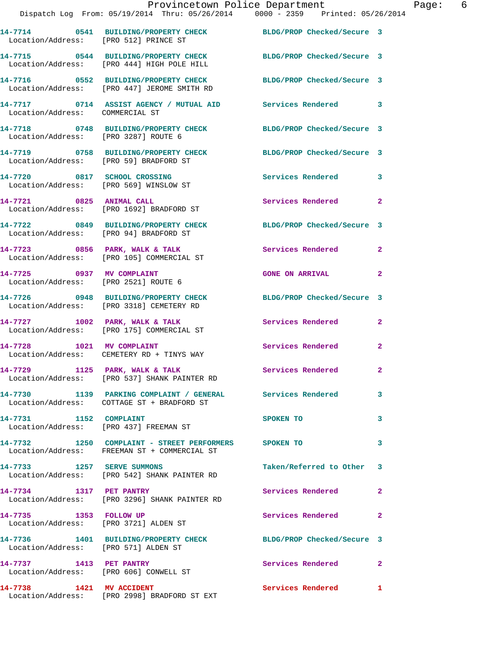|                                                                   | Provincetown Police Department<br>Dispatch Log From: 05/19/2014 Thru: 05/26/2014 0000 - 2359 Printed: 05/26/2014 |                          |                |
|-------------------------------------------------------------------|------------------------------------------------------------------------------------------------------------------|--------------------------|----------------|
|                                                                   | 14-7714 0541 BUILDING/PROPERTY CHECK BLDG/PROP Checked/Secure 3<br>Location/Address: [PRO 512] PRINCE ST         |                          |                |
|                                                                   | 14-7715 0544 BUILDING/PROPERTY CHECK BLDG/PROP Checked/Secure 3<br>Location/Address: [PRO 444] HIGH POLE HILL    |                          |                |
|                                                                   | 14-7716 0552 BUILDING/PROPERTY CHECK BLDG/PROP Checked/Secure 3<br>Location/Address: [PRO 447] JEROME SMITH RD   |                          |                |
| Location/Address: COMMERCIAL ST                                   | 14-7717 0714 ASSIST AGENCY / MUTUAL AID Services Rendered                                                        |                          | 3              |
| Location/Address: [PRO 3287] ROUTE 6                              | 14-7718 0748 BUILDING/PROPERTY CHECK BLDG/PROP Checked/Secure 3                                                  |                          |                |
| Location/Address: [PRO 59] BRADFORD ST                            | 14-7719 0758 BUILDING/PROPERTY CHECK BLDG/PROP Checked/Secure 3                                                  |                          |                |
|                                                                   | 14-7720 0817 SCHOOL CROSSING Services Rendered<br>Location/Address: [PRO 569] WINSLOW ST                         |                          | 3              |
| 14-7721 0825 ANIMAL CALL                                          | Location/Address: [PRO 1692] BRADFORD ST                                                                         | Services Rendered        | $\overline{2}$ |
| Location/Address: [PRO 94] BRADFORD ST                            | 14-7722 0849 BUILDING/PROPERTY CHECK BLDG/PROP Checked/Secure 3                                                  |                          |                |
|                                                                   | 14-7723 0856 PARK, WALK & TALK 3 Services Rendered<br>Location/Address: [PRO 105] COMMERCIAL ST                  |                          | $\overline{2}$ |
| Location/Address: [PRO 2521] ROUTE 6                              | 14-7725 0937 MV COMPLAINT                                                                                        | <b>GONE ON ARRIVAL</b>   | $\mathbf{2}$   |
|                                                                   | 14-7726 0948 BUILDING/PROPERTY CHECK BLDG/PROP Checked/Secure 3<br>Location/Address: [PRO 3318] CEMETERY RD      |                          |                |
|                                                                   | 14-7727 1002 PARK, WALK & TALK<br>Location/Address: [PRO 175] COMMERCIAL ST                                      | Services Rendered        | $\mathbf{2}$   |
|                                                                   | 14-7728 1021 MV COMPLAINT<br>Location/Address: CEMETERY RD + TINYS WAY                                           | Services Rendered        | $\mathbf{2}$   |
|                                                                   | 14-7729 1125 PARK, WALK & TALK<br>Location/Address: [PRO 537] SHANK PAINTER RD                                   | Services Rendered        | $\mathbf{2}$   |
|                                                                   | 14-7730 1139 PARKING COMPLAINT / GENERAL Services Rendered<br>Location/Address: COTTAGE ST + BRADFORD ST         |                          | 3              |
| 14-7731 1152 COMPLAINT<br>Location/Address: [PRO 437] FREEMAN ST  |                                                                                                                  | SPOKEN TO                | 3              |
|                                                                   | 14-7732 1250 COMPLAINT - STREET PERFORMERS SPOKEN TO<br>Location/Address: FREEMAN ST + COMMERCIAL ST             |                          | 3              |
|                                                                   | 14-7733 1257 SERVE SUMMONS<br>Location/Address: [PRO 542] SHANK PAINTER RD                                       | Taken/Referred to Other  | 3              |
| 14-7734 1317 PET PANTRY                                           | Location/Address: [PRO 3296] SHANK PAINTER RD                                                                    | Services Rendered        | $\mathbf{2}$   |
| 14-7735 1353 FOLLOW UP<br>Location/Address: [PRO 3721] ALDEN ST   |                                                                                                                  | Services Rendered        | 2              |
| Location/Address: [PRO 571] ALDEN ST                              | 14-7736 1401 BUILDING/PROPERTY CHECK BLDG/PROP Checked/Secure 3                                                  |                          |                |
| 14-7737 1413 PET PANTRY<br>Location/Address: [PRO 606] CONWELL ST |                                                                                                                  | <b>Services Rendered</b> | $\mathbf{2}$   |
| 14-7738 1421 MV ACCIDENT                                          |                                                                                                                  | <b>Services Rendered</b> | $\mathbf{1}$   |

Location/Address: [PRO 2998] BRADFORD ST EXT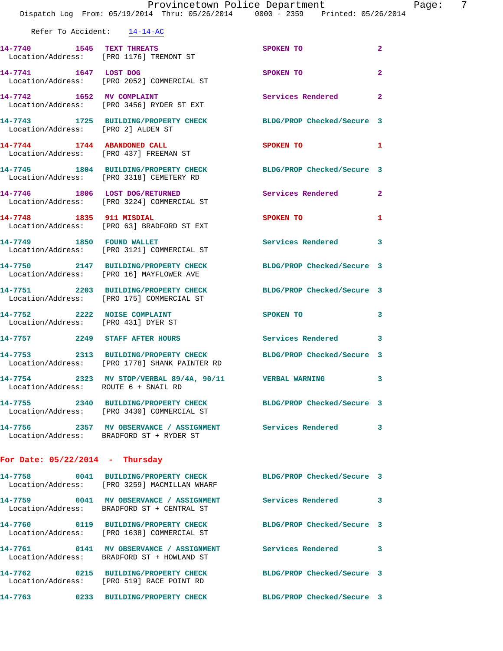|                                      | Dispatch Log From: 05/19/2014 Thru: 05/26/2014 0000 - 2359 Printed: 05/26/2014                                   | Provincetown Police Department Page: 7 |                |
|--------------------------------------|------------------------------------------------------------------------------------------------------------------|----------------------------------------|----------------|
|                                      | Refer To Accident: 14-14-AC                                                                                      |                                        |                |
|                                      | 14-7740 1545 TEXT THREATS<br>Location/Address: [PRO 1176] TREMONT ST                                             | SPOKEN TO                              | $\mathbf{2}$   |
|                                      | 14-7741 1647 LOST DOG<br>Location/Address: [PRO 2052] COMMERCIAL ST                                              | SPOKEN TO                              | $\overline{2}$ |
|                                      | 14-7742 1652 MV COMPLAINT<br>Location/Address: [PRO 3456] RYDER ST EXT                                           | Services Rendered 2                    |                |
| Location/Address: [PRO 2] ALDEN ST   | 14-7743 1725 BUILDING/PROPERTY CHECK BLDG/PROP Checked/Secure 3                                                  |                                        |                |
|                                      | 14-7744 1744 ABANDONED CALL SPOKEN TO 1<br>Location/Address: [PRO 437] FREEMAN ST                                |                                        |                |
|                                      | 14-7745 1804 BUILDING/PROPERTY CHECK BLDG/PROP Checked/Secure 3<br>Location/Address: [PRO 3318] CEMETERY RD      |                                        |                |
|                                      | 14-7746 1806 LOST DOG/RETURNED Services Rendered 2<br>Location/Address: [PRO 3224] COMMERCIAL ST                 |                                        |                |
|                                      | 14-7748 1835 911 MISDIAL<br>Location/Address: [PRO 63] BRADFORD ST EXT                                           | SPOKEN TO                              | 1              |
|                                      | 14-7749 1850 FOUND WALLET<br>Location/Address: [PRO 3121] COMMERCIAL ST                                          | <b>Services Rendered</b>               | 3              |
|                                      | 14-7750 2147 BUILDING/PROPERTY CHECK<br>Location/Address: [PRO 16] MAYFLOWER AVE                                 | BLDG/PROP Checked/Secure 3             |                |
|                                      | 14-7751 2203 BUILDING/PROPERTY CHECK BLDG/PROP Checked/Secure 3<br>Location/Address: [PRO 175] COMMERCIAL ST     |                                        |                |
|                                      | 14-7752 2222 NOISE COMPLAINT<br>Location/Address: [PRO 431] DYER ST                                              | SPOKEN TO 3                            |                |
|                                      | 14-7757 2249 STAFF AFTER HOURS Services Rendered 3                                                               |                                        |                |
|                                      | 14-7753 2313 BUILDING/PROPERTY CHECK BLDG/PROP Checked/Secure 3<br>Location/Address: [PRO 1778] SHANK PAINTER RD |                                        |                |
| Location/Address: ROUTE 6 + SNAIL RD | 14-7754 2323 MV STOP/VERBAL 89/4A, 90/11 VERBAL WARNING                                                          |                                        | 3              |
|                                      | 14-7755 2340 BUILDING/PROPERTY CHECK BLDG/PROP Checked/Secure 3<br>Location/Address: [PRO 3430] COMMERCIAL ST    |                                        |                |
|                                      | 14-7756 2357 MV OBSERVANCE / ASSIGNMENT Services Rendered 3<br>Location/Address: BRADFORD ST + RYDER ST          |                                        |                |
| For Date: $05/22/2014$ - Thursday    |                                                                                                                  |                                        |                |
|                                      | 14-7758 0041 BUILDING/PROPERTY CHECK BLDG/PROP Checked/Secure 3<br>Location/Address: [PRO 3259] MACMILLAN WHARF  |                                        |                |
|                                      | 14-7759 0041 MV OBSERVANCE / ASSIGNMENT Services Rendered<br>Location/Address: BRADFORD ST + CENTRAL ST          |                                        | 3              |
|                                      | 14-7760 0119 BUILDING/PROPERTY CHECK BLDG/PROP Checked/Secure 3<br>Location/Address: [PRO 1638] COMMERCIAL ST    |                                        |                |
|                                      | 14-7761 0141 MV OBSERVANCE / ASSIGNMENT Services Rendered 3<br>Location/Address: BRADFORD ST + HOWLAND ST        |                                        |                |
|                                      | 14-7762 0215 BUILDING/PROPERTY CHECK BLDG/PROP Checked/Secure 3<br>Location/Address: [PRO 519] RACE POINT RD     |                                        |                |
|                                      | 14-7763 0233 BUILDING/PROPERTY CHECK BLDG/PROP Checked/Secure 3                                                  |                                        |                |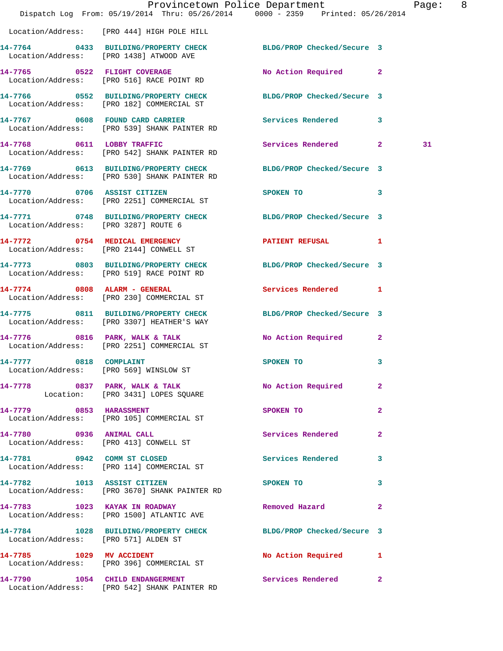|                                      | Dispatch Log From: 05/19/2014 Thru: 05/26/2014 0000 - 2359 Printed: 05/26/2014                                  | Provincetown Police Department Page: 8 |              |    |  |
|--------------------------------------|-----------------------------------------------------------------------------------------------------------------|----------------------------------------|--------------|----|--|
|                                      | Location/Address: [PRO 444] HIGH POLE HILL                                                                      |                                        |              |    |  |
|                                      | 14-7764 0433 BUILDING/PROPERTY CHECK BLDG/PROP Checked/Secure 3<br>Location/Address: [PRO 1438] ATWOOD AVE      |                                        |              |    |  |
|                                      | 14-7765 0522 FLIGHT COVERAGE<br>Location/Address: [PRO 516] RACE POINT RD                                       | No Action Required 2                   |              |    |  |
|                                      | 14-7766 0552 BUILDING/PROPERTY CHECK BLDG/PROP Checked/Secure 3<br>Location/Address: [PRO 182] COMMERCIAL ST    |                                        |              |    |  |
|                                      | 14-7767 0608 FOUND CARD CARRIER<br>Location/Address: [PRO 539] SHANK PAINTER RD                                 | Services Rendered 3                    |              |    |  |
|                                      | 14-7768 0611 LOBBY TRAFFIC<br>Location/Address: [PRO 542] SHANK PAINTER RD                                      | Services Rendered 2                    |              | 31 |  |
|                                      | 14-7769 0613 BUILDING/PROPERTY CHECK BLDG/PROP Checked/Secure 3<br>Location/Address: [PRO 530] SHANK PAINTER RD |                                        |              |    |  |
|                                      | 14-7770 0706 ASSIST CITIZEN<br>Location/Address: [PRO 2251] COMMERCIAL ST                                       | SPOKEN TO                              | $\mathbf{3}$ |    |  |
| Location/Address: [PRO 3287] ROUTE 6 | 14-7771 0748 BUILDING/PROPERTY CHECK BLDG/PROP Checked/Secure 3                                                 |                                        |              |    |  |
|                                      | 14-7772 0754 MEDICAL EMERGENCY<br>Location/Address: [PRO 2144] CONWELL ST                                       | PATIENT REFUSAL 1                      |              |    |  |
|                                      | 14-7773 0803 BUILDING/PROPERTY CHECK BLDG/PROP Checked/Secure 3<br>Location/Address: [PRO 519] RACE POINT RD    |                                        |              |    |  |
|                                      | 14-7774 0808 ALARM - GENERAL<br>Location/Address: [PRO 230] COMMERCIAL ST                                       | Services Rendered 1                    |              |    |  |
|                                      | 14-7775 0811 BUILDING/PROPERTY CHECK BLDG/PROP Checked/Secure 3<br>Location/Address: [PRO 3307] HEATHER'S WAY   |                                        |              |    |  |
|                                      | 14-7776 0816 PARK, WALK & TALK<br>Location/Address: [PRO 2251] COMMERCIAL ST                                    | No Action Required 2                   |              |    |  |
| 14-7777 0818 COMPLAINT               | Location/Address: [PRO 569] WINSLOW ST                                                                          | SPOKEN TO                              | 3            |    |  |
|                                      | 14-7778 6837 PARK, WALK & TALK 6 No Action Required 2<br>Location: [PRO 3431] LOPES SQUARE                      |                                        |              |    |  |
|                                      | 14-7779 0853 HARASSMENT<br>Location/Address: [PRO 105] COMMERCIAL ST                                            | SPOKEN TO                              | $\mathbf{2}$ |    |  |
|                                      | 14-7780 0936 ANIMAL CALL<br>Location/Address: [PRO 413] CONWELL ST                                              | Services Rendered                      | $\mathbf{2}$ |    |  |
|                                      | 14-7781 0942 COMM ST CLOSED<br>Location/Address: [PRO 114] COMMERCIAL ST                                        | Services Rendered 3                    |              |    |  |
|                                      | 14-7782 1013 ASSIST CITIZEN<br>Location/Address: [PRO 3670] SHANK PAINTER RD                                    | SPOKEN TO                              | 3            |    |  |
|                                      | 14-7783 1023 KAYAK IN ROADWAY<br>Location/Address: [PRO 1500] ATLANTIC AVE                                      | Removed Hazard                         | $\mathbf{2}$ |    |  |
| Location/Address: [PRO 571] ALDEN ST | 14-7784 1028 BUILDING/PROPERTY CHECK BLDG/PROP Checked/Secure 3                                                 |                                        |              |    |  |
| 14-7785 1029 MV ACCIDENT             | Location/Address: [PRO 396] COMMERCIAL ST                                                                       | No Action Required 1                   |              |    |  |
|                                      | 14-7790 1054 CHILD ENDANGERMENT<br>Location/Address: [PRO 542] SHANK PAINTER RD                                 | Services Rendered                      | $\mathbf{2}$ |    |  |
|                                      |                                                                                                                 |                                        |              |    |  |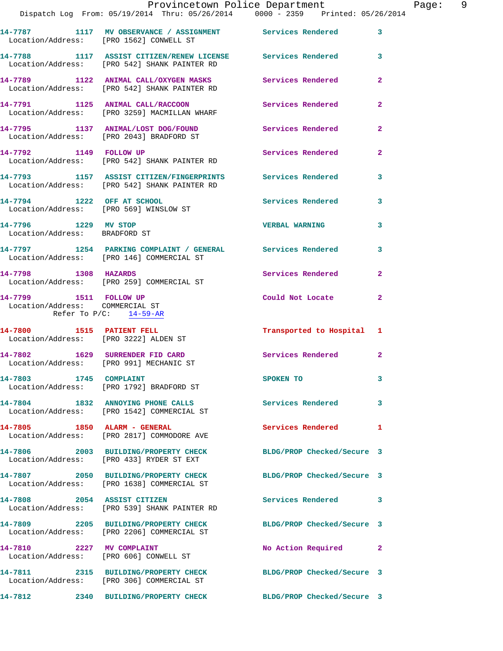|                                                                                        | Provincetown Police Department<br>Dispatch Log From: 05/19/2014 Thru: 05/26/2014 0000 - 2359 Printed: 05/26/2014 |                            |                |
|----------------------------------------------------------------------------------------|------------------------------------------------------------------------------------------------------------------|----------------------------|----------------|
|                                                                                        |                                                                                                                  |                            |                |
| Location/Address: [PRO 1562] CONWELL ST                                                | 14-7787 1117 MV OBSERVANCE / ASSIGNMENT Services Rendered                                                        |                            | 3              |
|                                                                                        | 14-7788 1117 ASSIST CITIZEN/RENEW LICENSE Services Rendered<br>Location/Address: [PRO 542] SHANK PAINTER RD      |                            | 3              |
|                                                                                        | 14-7789 1122 ANIMAL CALL/OXYGEN MASKS Services Rendered<br>Location/Address: [PRO 542] SHANK PAINTER RD          |                            | $\mathbf{2}$   |
|                                                                                        | 14-7791 1125 ANIMAL CALL/RACCOON Services Rendered<br>Location/Address: [PRO 3259] MACMILLAN WHARF               |                            | $\overline{2}$ |
|                                                                                        | 14-7795 1137 ANIMAL/LOST DOG/FOUND<br>Location/Address: [PRO 2043] BRADFORD ST                                   | Services Rendered          | $\overline{a}$ |
|                                                                                        | 14-7792 1149 FOLLOW UP<br>Location/Address: [PRO 542] SHANK PAINTER RD                                           | Services Rendered          | 2              |
|                                                                                        | 14-7793 1157 ASSIST CITIZEN/FINGERPRINTS Services Rendered<br>Location/Address: [PRO 542] SHANK PAINTER RD       |                            | 3              |
| 14-7794 1222 OFF AT SCHOOL                                                             | Location/Address: [PRO 569] WINSLOW ST                                                                           | Services Rendered          | 3              |
| 14-7796 1229 MV STOP<br>Location/Address: BRADFORD ST                                  |                                                                                                                  | <b>VERBAL WARNING</b>      | 3              |
|                                                                                        | 14-7797 1254 PARKING COMPLAINT / GENERAL Services Rendered<br>Location/Address: [PRO 146] COMMERCIAL ST          |                            | 3              |
| 14-7798 1308 HAZARDS                                                                   | Location/Address: [PRO 259] COMMERCIAL ST                                                                        | <b>Services Rendered</b>   | $\overline{2}$ |
| 14-7799 1511 FOLLOW UP<br>Location/Address: COMMERCIAL ST<br>Refer To $P/C$ : 14-59-AR |                                                                                                                  | Could Not Locate           | 2              |
| 14-7800 1515 PATIENT FELL<br>Location/Address: [PRO 3222] ALDEN ST                     |                                                                                                                  | Transported to Hospital 1  |                |
|                                                                                        | 14-7802 1629 SURRENDER FID CARD<br>Location/Address: [PRO 991] MECHANIC ST                                       | Services Rendered          | $\mathbf{2}$   |
| 14-7803 1745 COMPLAINT                                                                 | Location/Address: [PRO 1792] BRADFORD ST                                                                         | SPOKEN TO                  | 3              |
|                                                                                        | 14-7804 1832 ANNOYING PHONE CALLS<br>Location/Address: [PRO 1542] COMMERCIAL ST                                  | Services Rendered          | 3              |
| 14-7805 1850 ALARM - GENERAL                                                           | Location/Address: [PRO 2817] COMMODORE AVE                                                                       | Services Rendered          | 1              |
|                                                                                        | 14-7806 2003 BUILDING/PROPERTY CHECK<br>Location/Address: [PRO 433] RYDER ST EXT                                 | BLDG/PROP Checked/Secure 3 |                |
|                                                                                        | 14-7807 2050 BUILDING/PROPERTY CHECK<br>Location/Address: [PRO 1638] COMMERCIAL ST                               | BLDG/PROP Checked/Secure 3 |                |
|                                                                                        | 14-7808 2054 ASSIST CITIZEN<br>Location/Address: [PRO 539] SHANK PAINTER RD                                      | Services Rendered          | 3              |
|                                                                                        | 14-7809 2205 BUILDING/PROPERTY CHECK<br>Location/Address: [PRO 2206] COMMERCIAL ST                               | BLDG/PROP Checked/Secure 3 |                |
| 14-7810 2227 MV COMPLAINT                                                              | Location/Address: [PRO 606] CONWELL ST                                                                           | No Action Required         | 2              |
|                                                                                        | 14-7811 2315 BUILDING/PROPERTY CHECK<br>Location/Address: [PRO 306] COMMERCIAL ST                                | BLDG/PROP Checked/Secure 3 |                |
| 14-7812                                                                                | 2340 BUILDING/PROPERTY CHECK                                                                                     | BLDG/PROP Checked/Secure 3 |                |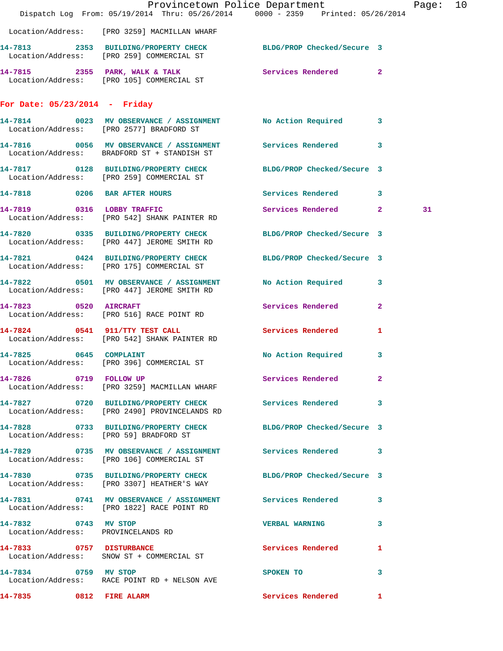|                                                            | Dispatch Log From: 05/19/2014 Thru: 05/26/2014 0000 - 2359 Printed: 05/26/2014                                 | Provincetown Police Department Fage: 10 |    |  |
|------------------------------------------------------------|----------------------------------------------------------------------------------------------------------------|-----------------------------------------|----|--|
|                                                            |                                                                                                                |                                         |    |  |
|                                                            | Location/Address: [PRO 3259] MACMILLAN WHARF                                                                   |                                         |    |  |
|                                                            | 14-7813 2353 BUILDING/PROPERTY CHECK BLDG/PROP Checked/Secure 3<br>Location/Address: [PRO 259] COMMERCIAL ST   |                                         |    |  |
|                                                            | 14-7815 2355 PARK, WALK & TALK Services Rendered 2<br>Location/Address: [PRO 105] COMMERCIAL ST                |                                         |    |  |
| For Date: $05/23/2014$ - Friday                            |                                                                                                                |                                         |    |  |
|                                                            | 14-7814 0023 MV OBSERVANCE / ASSIGNMENT No Action Required 3<br>Location/Address: [PRO 2577] BRADFORD ST       |                                         |    |  |
|                                                            | 14-7816 0056 MV OBSERVANCE / ASSIGNMENT Services Rendered 3<br>Location/Address: BRADFORD ST + STANDISH ST     |                                         |    |  |
|                                                            | 14-7817 0128 BUILDING/PROPERTY CHECK BLDG/PROP Checked/Secure 3<br>Location/Address: [PRO 259] COMMERCIAL ST   |                                         |    |  |
|                                                            | 14-7818 6206 BAR AFTER HOURS Services Rendered 3                                                               |                                         |    |  |
|                                                            | 14-7819 0316 LOBBY TRAFFIC<br>Location/Address: [PRO 542] SHANK PAINTER RD                                     | Services Rendered 2                     | 31 |  |
|                                                            | 14-7820 0335 BUILDING/PROPERTY CHECK BLDG/PROP Checked/Secure 3<br>Location/Address: [PRO 447] JEROME SMITH RD |                                         |    |  |
|                                                            | 14-7821 0424 BUILDING/PROPERTY CHECK BLDG/PROP Checked/Secure 3<br>Location/Address: [PRO 175] COMMERCIAL ST   |                                         |    |  |
|                                                            | 14-7822 0501 MV OBSERVANCE / ASSIGNMENT No Action Required 3<br>Location/Address: [PRO 447] JEROME SMITH RD    |                                         |    |  |
|                                                            | 14-7823 0520 AIRCRAFT<br>Location/Address: [PRO 516] RACE POINT RD                                             | Services Rendered 2                     |    |  |
|                                                            | 14-7824 0541 911/TTY TEST CALL<br>Location/Address: [PRO 542] SHANK PAINTER RD                                 | Services Rendered<br>1                  |    |  |
|                                                            | 14-7825 0645 COMPLAINT<br>Location/Address: [PRO 396] COMMERCIAL ST                                            | No Action Required 3                    |    |  |
| 14-7826 0719 FOLLOW UP                                     | Location/Address: [PRO 3259] MACMILLAN WHARF                                                                   | Services Rendered 2                     |    |  |
|                                                            | 14-7827 0720 BUILDING/PROPERTY CHECK Services Rendered 3<br>Location/Address: [PRO 2490] PROVINCELANDS RD      |                                         |    |  |
|                                                            | 14-7828 0733 BUILDING/PROPERTY CHECK BLDG/PROP Checked/Secure 3<br>Location/Address: [PRO 59] BRADFORD ST      |                                         |    |  |
|                                                            | 14-7829 		 0735 MV OBSERVANCE / ASSIGNMENT Services Rendered 3<br>Location/Address: [PRO 106] COMMERCIAL ST    |                                         |    |  |
|                                                            | 14-7830 0735 BUILDING/PROPERTY CHECK BLDG/PROP Checked/Secure 3<br>Location/Address: [PRO 3307] HEATHER'S WAY  |                                         |    |  |
|                                                            | 14-7831 0741 MV OBSERVANCE / ASSIGNMENT Services Rendered 3<br>Location/Address: [PRO 1822] RACE POINT RD      |                                         |    |  |
| 14-7832 0743 MV STOP<br>Location/Address: PROVINCELANDS RD |                                                                                                                | VERBAL WARNING 3                        |    |  |
|                                                            | 14-7833 0757 DISTURBANCE<br>Location/Address: SNOW ST + COMMERCIAL ST                                          | <b>Services Rendered</b> 1              |    |  |
| 14-7834 0759 MV STOP                                       | Location/Address: RACE POINT RD + NELSON AVE                                                                   | SPOKEN TO<br>$\mathbf{3}$               |    |  |
| 14-7835 0812 FIRE ALARM                                    |                                                                                                                | <b>Services Rendered</b> 1              |    |  |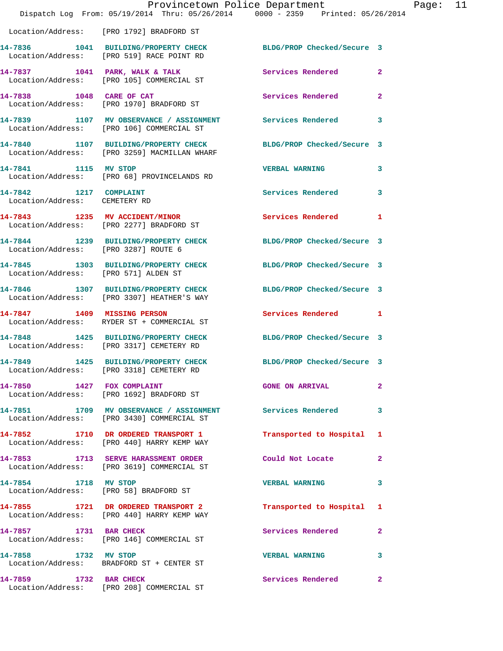|                                                         | Provincetown Police Department<br>Dispatch Log From: 05/19/2014 Thru: 05/26/2014 0000 - 2359 Printed: 05/26/2014 |                            |                |
|---------------------------------------------------------|------------------------------------------------------------------------------------------------------------------|----------------------------|----------------|
|                                                         | Location/Address: [PRO 1792] BRADFORD ST                                                                         |                            |                |
|                                                         | 14-7836 1041 BUILDING/PROPERTY CHECK BLDG/PROP Checked/Secure 3                                                  |                            |                |
|                                                         | Location/Address: [PRO 519] RACE POINT RD                                                                        |                            |                |
|                                                         | 14-7837 1041 PARK, WALK & TALK<br>Location/Address: [PRO 105] COMMERCIAL ST                                      | Services Rendered          | $\overline{2}$ |
|                                                         | 14-7838 1048 CARE OF CAT<br>Location/Address: [PRO 1970] BRADFORD ST                                             | <b>Services Rendered</b>   | $\overline{2}$ |
|                                                         | 14-7839 1107 MV OBSERVANCE / ASSIGNMENT Services Rendered<br>Location/Address: [PRO 106] COMMERCIAL ST           |                            | 3              |
|                                                         | 14-7840 1107 BUILDING/PROPERTY CHECK<br>Location/Address: [PRO 3259] MACMILLAN WHARF                             | BLDG/PROP Checked/Secure 3 |                |
| 14-7841 1115 MV STOP                                    | Location/Address: [PRO 68] PROVINCELANDS RD                                                                      | <b>VERBAL WARNING</b>      | 3              |
| 14-7842 1217 COMPLAINT<br>Location/Address: CEMETERY RD |                                                                                                                  | Services Rendered          | 3              |
|                                                         | 14-7843 1235 MV ACCIDENT/MINOR<br>Location/Address: [PRO 2277] BRADFORD ST                                       | <b>Services Rendered</b>   | 1              |
|                                                         | 14-7844 1239 BUILDING/PROPERTY CHECK<br>Location/Address: [PRO 3287] ROUTE 6                                     | BLDG/PROP Checked/Secure 3 |                |
| Location/Address: [PRO 571] ALDEN ST                    | 14-7845 1303 BUILDING/PROPERTY CHECK BLDG/PROP Checked/Secure 3                                                  |                            |                |
|                                                         | 14-7846 1307 BUILDING/PROPERTY CHECK<br>Location/Address: [PRO 3307] HEATHER'S WAY                               | BLDG/PROP Checked/Secure 3 |                |
| 14-7847 1409 MISSING PERSON                             | Location/Address: RYDER ST + COMMERCIAL ST                                                                       | Services Rendered 1        |                |
|                                                         | 14-7848 1425 BUILDING/PROPERTY CHECK<br>Location/Address: [PRO 3317] CEMETERY RD                                 | BLDG/PROP Checked/Secure 3 |                |
|                                                         | 14-7849 1425 BUILDING/PROPERTY CHECK<br>Location/Address: [PRO 3318] CEMETERY RD                                 | BLDG/PROP Checked/Secure 3 |                |
|                                                         | 14-7850 1427 FOX COMPLAINT<br>Location/Address: [PRO 1692] BRADFORD ST                                           | <b>GONE ON ARRIVAL</b>     | $\overline{2}$ |
|                                                         | 14-7851 1709 MV OBSERVANCE / ASSIGNMENT Services Rendered<br>Location/Address: [PRO 3430] COMMERCIAL ST          |                            | 3              |
|                                                         | 14-7852 1710 DR ORDERED TRANSPORT 1<br>Location/Address: [PRO 440] HARRY KEMP WAY                                | Transported to Hospital    | 1              |
|                                                         | 14-7853 1713 SERVE HARASSMENT ORDER Could Not Locate<br>Location/Address: [PRO 3619] COMMERCIAL ST               |                            | 2              |
| 14-7854 1718 MV STOP                                    | Location/Address: [PRO 58] BRADFORD ST                                                                           | <b>VERBAL WARNING</b>      | 3              |
|                                                         | 14-7855 1721 DR ORDERED TRANSPORT 2<br>Location/Address: [PRO 440] HARRY KEMP WAY                                | Transported to Hospital 1  |                |
| 14-7857 1731 BAR CHECK                                  | Location/Address: [PRO 146] COMMERCIAL ST                                                                        | Services Rendered          | $\overline{2}$ |
| 14-7858 1732 MV STOP                                    | Location/Address: BRADFORD ST + CENTER ST                                                                        | <b>VERBAL WARNING</b>      | 3              |
| 14-7859 1732 BAR CHECK                                  | Location/Address: [PRO 208] COMMERCIAL ST                                                                        | Services Rendered          | $\mathbf{2}$   |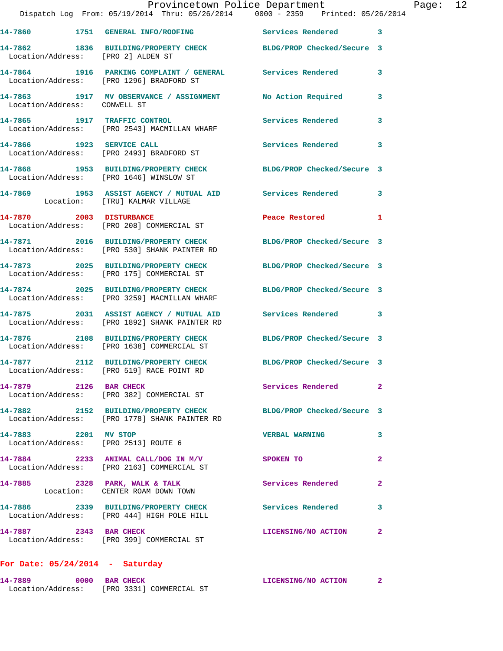|                                                              | Provincetown Police Department<br>Dispatch Log From: 05/19/2014 Thru: 05/26/2014 0000 - 2359 Printed: 05/26/2014 |                            |   |
|--------------------------------------------------------------|------------------------------------------------------------------------------------------------------------------|----------------------------|---|
|                                                              | 14-7860 1751 GENERAL INFO/ROOFING                                                                                | Services Rendered          | 3 |
| Location/Address: [PRO 2] ALDEN ST                           | 14-7862 1836 BUILDING/PROPERTY CHECK BLDG/PROP Checked/Secure 3                                                  |                            |   |
|                                                              | 14-7864 1916 PARKING COMPLAINT / GENERAL Services Rendered<br>Location/Address: [PRO 1296] BRADFORD ST           |                            | 3 |
| Location/Address: CONWELL ST                                 | 14-7863 1917 MV OBSERVANCE / ASSIGNMENT                                                                          | <b>No Action Required</b>  | 3 |
|                                                              | 14-7865 1917 TRAFFIC CONTROL<br>Location/Address: [PRO 2543] MACMILLAN WHARF                                     | Services Rendered          | 3 |
| 14-7866 1923 SERVICE CALL                                    | Location/Address: [PRO 2493] BRADFORD ST                                                                         | Services Rendered          | 3 |
|                                                              |                                                                                                                  | BLDG/PROP Checked/Secure 3 |   |
|                                                              | 14-7869 1953 ASSIST AGENCY / MUTUAL AID Services Rendered<br>Location: [TRU] KALMAR VILLAGE                      |                            | 3 |
| 14-7870 2003 DISTURBANCE                                     | Location/Address: [PRO 208] COMMERCIAL ST                                                                        | Peace Restored             | 1 |
|                                                              | 14-7871 2016 BUILDING/PROPERTY CHECK<br>Location/Address: [PRO 530] SHANK PAINTER RD                             | BLDG/PROP Checked/Secure 3 |   |
|                                                              | 14-7873 2025 BUILDING/PROPERTY CHECK<br>Location/Address: [PRO 175] COMMERCIAL ST                                | BLDG/PROP Checked/Secure 3 |   |
|                                                              | 14-7874 2025 BUILDING/PROPERTY CHECK<br>Location/Address: [PRO 3259] MACMILLAN WHARF                             | BLDG/PROP Checked/Secure 3 |   |
|                                                              | 14-7875 2031 ASSIST AGENCY / MUTUAL AID Services Rendered<br>Location/Address: [PRO 1892] SHANK PAINTER RD       |                            | 3 |
|                                                              | 14-7876 2108 BUILDING/PROPERTY CHECK<br>Location/Address: [PRO 1638] COMMERCIAL ST                               | BLDG/PROP Checked/Secure 3 |   |
| 14-7877                                                      | 2112 BUILDING/PROPERTY CHECK<br>Location/Address: [PRO 519] RACE POINT RD                                        | BLDG/PROP Checked/Secure 3 |   |
| 14-7879 2126 BAR CHECK                                       | Location/Address: [PRO 382] COMMERCIAL ST                                                                        | Services Rendered          | 2 |
|                                                              | 14-7882 2152 BUILDING/PROPERTY CHECK<br>Location/Address: [PRO 1778] SHANK PAINTER RD                            | BLDG/PROP Checked/Secure 3 |   |
| 14-7883 2201 MV STOP<br>Location/Address: [PRO 2513] ROUTE 6 |                                                                                                                  | <b>VERBAL WARNING</b>      | 3 |
|                                                              | $14-7884$ 2233 ANIMAL CALL/DOG IN M/V<br>Location/Address: [PRO 2163] COMMERCIAL ST                              | <b>SPOKEN TO</b>           | 2 |
|                                                              | 14-7885 2328 PARK, WALK & TALK<br>Location: CENTER ROAM DOWN TOWN                                                | Services Rendered          | 2 |
|                                                              | 14-7886 2339 BUILDING/PROPERTY CHECK Services Rendered<br>Location/Address: [PRO 444] HIGH POLE HILL             |                            | 3 |
| 14-7887 2343 BAR CHECK                                       | Location/Address: [PRO 399] COMMERCIAL ST                                                                        | LICENSING/NO ACTION        | 2 |
|                                                              |                                                                                                                  |                            |   |

## **For Date: 05/24/2014 - Saturday**

| 14-7889           | 0000 BAR CHECK |  |                          | LICENSING/NO ACTION |  |
|-------------------|----------------|--|--------------------------|---------------------|--|
| Location/Address: |                |  | [PRO 3331] COMMERCIAL ST |                     |  |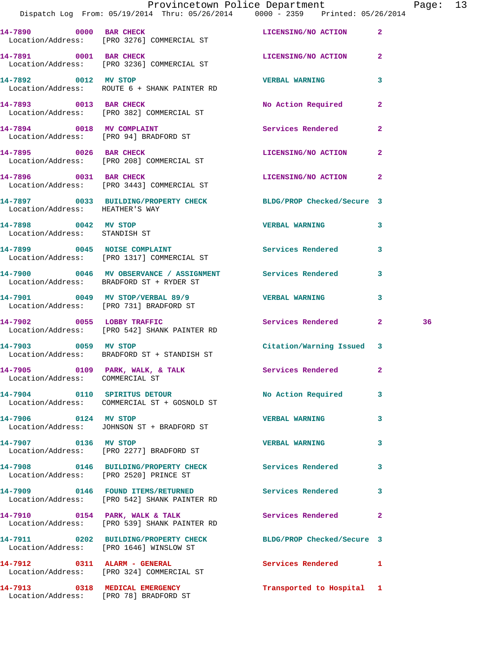|                                                       | Provincetown Police Department<br>Dispatch Log From: 05/19/2014 Thru: 05/26/2014 0000 - 2359 Printed: 05/26/2014 |                           |              | Page: 13 |  |
|-------------------------------------------------------|------------------------------------------------------------------------------------------------------------------|---------------------------|--------------|----------|--|
|                                                       | 14-7890 0000 BAR CHECK LICENSING/NO ACTION 2<br>Location/Address: [PRO 3276] COMMERCIAL ST                       |                           |              |          |  |
|                                                       | 14-7891 0001 BAR CHECK LICENSING/NO ACTION 2<br>Location/Address: [PRO 3236] COMMERCIAL ST                       |                           |              |          |  |
|                                                       | 14-7892 0012 MV STOP<br>Location/Address: ROUTE 6 + SHANK PAINTER RD                                             | <b>VERBAL WARNING</b>     | $\mathbf{3}$ |          |  |
|                                                       | 14-7893 0013 BAR CHECK<br>Location/Address: [PRO 382] COMMERCIAL ST                                              | No Action Required 2      |              |          |  |
|                                                       | 14-7894 0018 MV COMPLAINT<br>Location/Address: [PRO 94] BRADFORD ST                                              | Services Rendered         | $\mathbf{2}$ |          |  |
|                                                       | 14-7895 0026 BAR CHECK<br>Location/Address: [PRO 208] COMMERCIAL ST                                              | LICENSING/NO ACTION 2     |              |          |  |
|                                                       | 14-7896 0031 BAR CHECK<br>Location/Address: [PRO 3443] COMMERCIAL ST                                             | LICENSING/NO ACTION 2     |              |          |  |
| Location/Address: HEATHER'S WAY                       | 14-7897 0033 BUILDING/PROPERTY CHECK BLDG/PROP Checked/Secure 3                                                  |                           |              |          |  |
| 14-7898 0042 MV STOP<br>Location/Address: STANDISH ST |                                                                                                                  | <b>VERBAL WARNING 3</b>   |              |          |  |
|                                                       | 14-7899 0045 NOISE COMPLAINT Services Rendered 3<br>Location/Address: [PRO 1317] COMMERCIAL ST                   |                           |              |          |  |
|                                                       | 14-7900 0046 MV OBSERVANCE / ASSIGNMENT Services Rendered 3<br>Location/Address: BRADFORD ST + RYDER ST          |                           |              |          |  |
|                                                       | 14-7901 0049 MV STOP/VERBAL 89/9 VERBAL WARNING<br>Location/Address: [PRO 731] BRADFORD ST                       |                           | $\mathbf{3}$ |          |  |
|                                                       | 14-7902 0055 LOBBY TRAFFIC<br>Location/Address: [PRO 542] SHANK PAINTER RD                                       | Services Rendered 2       |              | 36       |  |
|                                                       | 14-7903 0059 MV STOP<br>Location/Address: BRADFORD ST + STANDISH ST                                              | Citation/Warning Issued 3 |              |          |  |
| Location/Address: COMMERCIAL ST                       | 14-7905 0109 PARK, WALK, & TALK                                                                                  | Services Rendered 2       |              |          |  |
|                                                       | 14-7904 0110 SPIRITUS DETOUR<br>Location/Address: COMMERCIAL ST + GOSNOLD ST                                     | No Action Required 3      |              |          |  |
| 14-7906 0124 MV STOP                                  | Location/Address: JOHNSON ST + BRADFORD ST                                                                       | <b>VERBAL WARNING</b>     | $\mathbf{3}$ |          |  |
| 14-7907 0136 MV STOP                                  | Location/Address: [PRO 2277] BRADFORD ST                                                                         | <b>VERBAL WARNING</b>     | 3            |          |  |
|                                                       | 14-7908 0146 BUILDING/PROPERTY CHECK Services Rendered 3<br>Location/Address: [PRO 2520] PRINCE ST               |                           |              |          |  |
|                                                       | 14-7909 		 0146 FOUND ITEMS/RETURNED 		 Services Rendered<br>Location/Address: [PRO 542] SHANK PAINTER RD        |                           | $\mathbf{3}$ |          |  |
|                                                       | 14-7910 0154 PARK, WALK & TALK 3 Services Rendered 2<br>Location/Address: [PRO 539] SHANK PAINTER RD             |                           |              |          |  |
|                                                       | 14-7911 0202 BUILDING/PROPERTY CHECK BLDG/PROP Checked/Secure 3<br>Location/Address: [PRO 1646] WINSLOW ST       |                           |              |          |  |
|                                                       | 14-7912 0311 ALARM - GENERAL<br>Location/Address: [PRO 324] COMMERCIAL ST                                        | Services Rendered 1       |              |          |  |
|                                                       | 14-7913 0318 MEDICAL EMERGENCY<br>Location/Address: [PRO 78] BRADFORD ST                                         | Transported to Hospital 1 |              |          |  |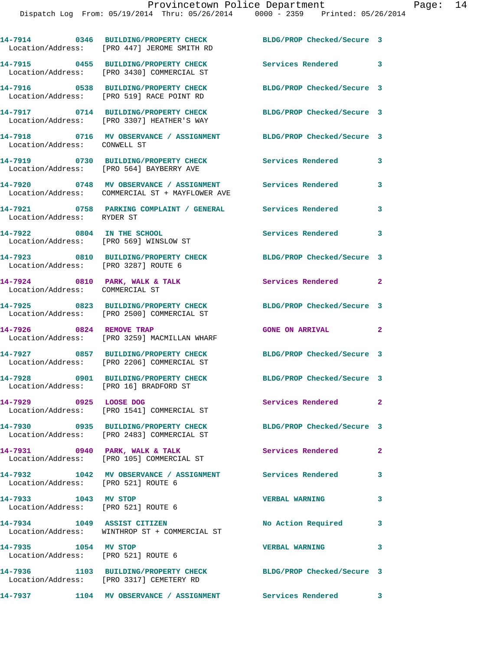**14-7914 0346 BUILDING/PROPERTY CHECK BLDG/PROP Checked/Secure 3** 

|                                                             | Location/Address: [PRO 447] JEROME SMITH RD                                                        |                            |                |
|-------------------------------------------------------------|----------------------------------------------------------------------------------------------------|----------------------------|----------------|
|                                                             | 14-7915 0455 BUILDING/PROPERTY CHECK<br>Location/Address: [PRO 3430] COMMERCIAL ST                 | <b>Services Rendered</b>   | 3              |
|                                                             | 14-7916 0538 BUILDING/PROPERTY CHECK<br>Location/Address: [PRO 519] RACE POINT RD                  | BLDG/PROP Checked/Secure 3 |                |
|                                                             | 14-7917 0714 BUILDING/PROPERTY CHECK<br>Location/Address: [PRO 3307] HEATHER'S WAY                 | BLDG/PROP Checked/Secure 3 |                |
| Location/Address: CONWELL ST                                | 14-7918 0716 MV OBSERVANCE / ASSIGNMENT                                                            | BLDG/PROP Checked/Secure 3 |                |
|                                                             | 14-7919 0730 BUILDING/PROPERTY CHECK Services Rendered<br>Location/Address: [PRO 564] BAYBERRY AVE |                            | 3              |
|                                                             | 14-7920 0748 MV OBSERVANCE / ASSIGNMENT<br>Location/Address: COMMERCIAL ST + MAYFLOWER AVE         | <b>Services Rendered</b>   | 3              |
| Location/Address: RYDER ST                                  | 14-7921 0758 PARKING COMPLAINT / GENERAL Services Rendered                                         |                            | 3              |
|                                                             | 14-7922 0804 IN THE SCHOOL<br>Location/Address: [PRO 569] WINSLOW ST                               | Services Rendered          | 3              |
| Location/Address: [PRO 3287] ROUTE 6                        | 14-7923 0810 BUILDING/PROPERTY CHECK                                                               | BLDG/PROP Checked/Secure 3 |                |
| Location/Address: COMMERCIAL ST                             | 14-7924 0810 PARK, WALK & TALK                                                                     | Services Rendered          | $\overline{2}$ |
|                                                             | 14-7925 0823 BUILDING/PROPERTY CHECK<br>Location/Address: [PRO 2500] COMMERCIAL ST                 | BLDG/PROP Checked/Secure 3 |                |
| 14-7926 0824 REMOVE TRAP                                    | Location/Address: [PRO 3259] MACMILLAN WHARF                                                       | <b>GONE ON ARRIVAL</b>     | $\overline{2}$ |
|                                                             | 14-7927 0857 BUILDING/PROPERTY CHECK<br>Location/Address: [PRO 2206] COMMERCIAL ST                 | BLDG/PROP Checked/Secure 3 |                |
| Location/Address: [PRO 16] BRADFORD ST                      | 14-7928 0901 BUILDING/PROPERTY CHECK                                                               | BLDG/PROP Checked/Secure 3 |                |
| 14-7929 0925 LOOSE DOG                                      | Location/Address: [PRO 1541] COMMERCIAL ST                                                         | Services Rendered          | $\mathbf{2}$   |
|                                                             | 14-7930 0935 BUILDING/PROPERTY CHECK<br>Location/Address: [PRO 2483] COMMERCIAL ST                 | BLDG/PROP Checked/Secure 3 |                |
|                                                             | 14-7931 0940 PARK, WALK & TALK<br>Location/Address: [PRO 105] COMMERCIAL ST                        | Services Rendered          | $\overline{2}$ |
|                                                             | 14-7932 1042 MV OBSERVANCE / ASSIGNMENT Services Rendered<br>Location/Address: [PRO 521] ROUTE 6   |                            | 3              |
| 14-7933 1043 MV STOP<br>Location/Address: [PRO 521] ROUTE 6 |                                                                                                    | <b>VERBAL WARNING</b>      | 3              |
|                                                             | 14-7934 1049 ASSIST CITIZEN<br>Location/Address: WINTHROP ST + COMMERCIAL ST                       | No Action Required         | 3              |
| 14-7935 1054 MV STOP                                        |                                                                                                    |                            |                |
|                                                             | Location/Address: [PRO 521] ROUTE 6                                                                | <b>VERBAL WARNING</b>      | 3              |
|                                                             | 14-7936 1103 BUILDING/PROPERTY CHECK<br>Location/Address: [PRO 3317] CEMETERY RD                   | BLDG/PROP Checked/Secure 3 |                |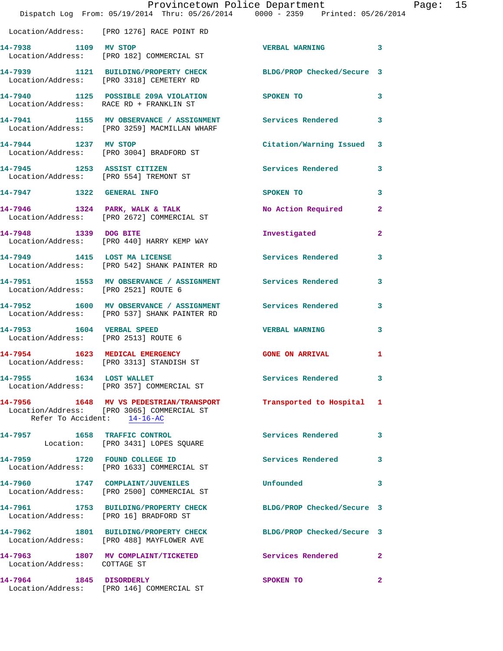|                                        | Provincetown Police Department<br>Dispatch Log From: 05/19/2014 Thru: 05/26/2014 0000 - 2359 Printed: 05/26/2014 |                                                                                                                 |                | Page: 15 |  |
|----------------------------------------|------------------------------------------------------------------------------------------------------------------|-----------------------------------------------------------------------------------------------------------------|----------------|----------|--|
|                                        | Location/Address: [PRO 1276] RACE POINT RD                                                                       |                                                                                                                 |                |          |  |
| 14-7938 1109 MV STOP                   | Location/Address: [PRO 182] COMMERCIAL ST                                                                        | <b>VERBAL WARNING 3</b>                                                                                         |                |          |  |
|                                        | 14-7939 1121 BUILDING/PROPERTY CHECK BLDG/PROP Checked/Secure 3<br>Location/Address: [PRO 3318] CEMETERY RD      |                                                                                                                 |                |          |  |
|                                        | 14-7940 1125 POSSIBLE 209A VIOLATION SPOKEN TO<br>Location/Address: RACE RD + FRANKLIN ST                        |                                                                                                                 | 3              |          |  |
|                                        | 14-7941 1155 MV OBSERVANCE / ASSIGNMENT Services Rendered<br>Location/Address: [PRO 3259] MACMILLAN WHARF        |                                                                                                                 | 3              |          |  |
| 14-7944 1237 MV STOP                   | Location/Address: [PRO 3004] BRADFORD ST                                                                         | Citation/Warning Issued 3                                                                                       |                |          |  |
|                                        | 14-7945 1253 ASSIST CITIZEN<br>Location/Address: [PRO 554] TREMONT ST                                            | Services Rendered 3                                                                                             |                |          |  |
|                                        | 14-7947 1322 GENERAL INFO                                                                                        | SPOKEN TO THE STRIKE STRIKE STRIKE STRIKE STRIKE STRIKE STRIKE STRIKE STRIKE STRIKE STRIKE STRIKE STRIKE STRIKE | 3              |          |  |
|                                        | 14-7946 1324 PARK, WALK & TALK NO Action Required 2<br>Location/Address: [PRO 2672] COMMERCIAL ST                |                                                                                                                 |                |          |  |
|                                        | 14-7948 1339 DOG BITE<br>Location/Address: [PRO 440] HARRY KEMP WAY                                              | Investigated                                                                                                    | $\overline{2}$ |          |  |
|                                        | 14-7949 1415 LOST MA LICENSE<br>Location/Address: [PRO 542] SHANK PAINTER RD                                     | Services Rendered                                                                                               | 3              |          |  |
| Location/Address: [PRO 2521] ROUTE 6   | 14-7951 1553 MV OBSERVANCE / ASSIGNMENT Services Rendered                                                        |                                                                                                                 | 3              |          |  |
|                                        | 14-7952 1600 MV OBSERVANCE / ASSIGNMENT Services Rendered 3<br>Location/Address: [PRO 537] SHANK PAINTER RD      |                                                                                                                 |                |          |  |
| 14-7953 1604 VERBAL SPEED              | Location/Address: [PRO 2513] ROUTE 6                                                                             | <b>VERBAL WARNING</b>                                                                                           | 3              |          |  |
|                                        | 14-7954 1623 MEDICAL EMERGENCY<br>Location/Address: [PRO 3313] STANDISH ST                                       | <b>GONE ON ARRIVAL</b>                                                                                          | 1              |          |  |
|                                        | 14-7955 1634 LOST WALLET<br>Location/Address: [PRO 357] COMMERCIAL ST                                            | Services Rendered 3                                                                                             |                |          |  |
| Refer To Accident: 14-16-AC            | 14-7956 1648 MV VS PEDESTRIAN/TRANSPORT<br>Location/Address: [PRO 3065] COMMERCIAL ST                            | Transported to Hospital 1                                                                                       |                |          |  |
|                                        | 14-7957 1658 TRAFFIC CONTROL<br>Location: [PRO 3431] LOPES SQUARE                                                | Services Rendered                                                                                               | 3              |          |  |
|                                        | 14-7959 1720 FOUND COLLEGE ID<br>Location/Address: [PRO 1633] COMMERCIAL ST                                      | Services Rendered                                                                                               | 3              |          |  |
|                                        | 14-7960 1747 COMPLAINT/JUVENILES<br>Location/Address: [PRO 2500] COMMERCIAL ST                                   | Unfounded                                                                                                       | 3              |          |  |
| Location/Address: [PRO 16] BRADFORD ST | 14-7961 1753 BUILDING/PROPERTY CHECK                                                                             | BLDG/PROP Checked/Secure 3                                                                                      |                |          |  |
|                                        | 14-7962 1801 BUILDING/PROPERTY CHECK BLDG/PROP Checked/Secure 3<br>Location/Address: [PRO 488] MAYFLOWER AVE     |                                                                                                                 |                |          |  |
| Location/Address: COTTAGE ST           | 14-7963 1807 MV COMPLAINT/TICKETED                                                                               | Services Rendered 2                                                                                             |                |          |  |
|                                        | 14-7964 1845 DISORDERLY<br>Location/Address: [PRO 146] COMMERCIAL ST                                             | SPOKEN TO                                                                                                       | $\mathbf{2}$   |          |  |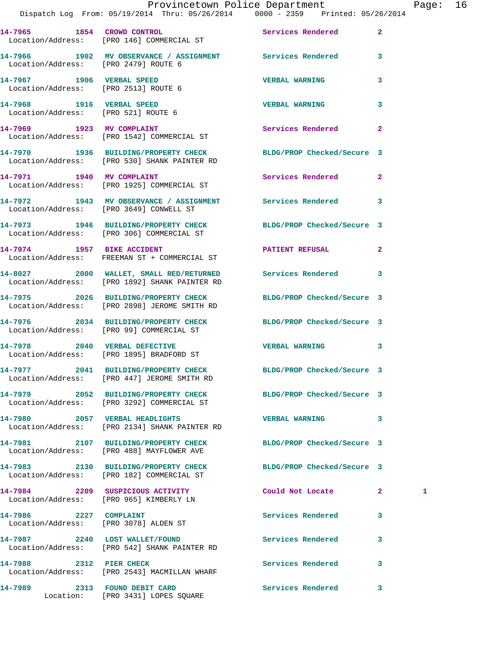|                                      | Dispatch Log From: 05/19/2014 Thru: 05/26/2014 0000 - 2359 Printed: 05/26/2014                                  | Provincetown Police Department | Page: 16     |
|--------------------------------------|-----------------------------------------------------------------------------------------------------------------|--------------------------------|--------------|
|                                      | 14-7965 1854 CROWD CONTROL<br>Location/Address: [PRO 146] COMMERCIAL ST                                         | Services Rendered 2            |              |
| Location/Address: [PRO 2479] ROUTE 6 | 14-7966 1902 MV OBSERVANCE / ASSIGNMENT Services Rendered 3                                                     |                                |              |
|                                      |                                                                                                                 | <b>VERBAL WARNING</b>          | 3            |
|                                      |                                                                                                                 | <b>VERBAL WARNING</b>          | 3            |
|                                      | 14-7969 1923 MV COMPLAINT<br>Location/Address: [PRO 1542] COMMERCIAL ST                                         | Services Rendered 2            |              |
|                                      | 14-7970 1936 BUILDING/PROPERTY CHECK BLDG/PROP Checked/Secure 3<br>Location/Address: [PRO 530] SHANK PAINTER RD |                                |              |
|                                      | 14-7971 1940 MV COMPLAINT<br>Location/Address: [PRO 1925] COMMERCIAL ST                                         | Services Rendered 2            |              |
|                                      | 14-7972 1943 MV OBSERVANCE / ASSIGNMENT Services Rendered 3<br>Location/Address: [PRO 3649] CONWELL ST          |                                |              |
|                                      | 14-7973 1946 BUILDING/PROPERTY CHECK BLDG/PROP Checked/Secure 3<br>Location/Address: [PRO 306] COMMERCIAL ST    |                                |              |
|                                      | 14-7974 1957 BIKE ACCIDENT<br>Location/Address: FREEMAN ST + COMMERCIAL ST                                      | PATIENT REFUSAL                | $\mathbf{2}$ |
|                                      | 14-8027 2000 WALLET, SMALL RED/RETURNED Services Rendered 3<br>Location/Address: [PRO 1892] SHANK PAINTER RD    |                                |              |
|                                      | 14-7975 2026 BUILDING/PROPERTY CHECK BLDG/PROP Checked/Secure 3<br>Location/Address: [PRO 2898] JEROME SMITH RD |                                |              |
|                                      | 14-7976 2034 BUILDING/PROPERTY CHECK BLDG/PROP Checked/Secure 3<br>Location/Address: [PRO 99] COMMERCIAL ST     |                                |              |
|                                      | 14-7978 2040 VERBAL DEFECTIVE<br>Location/Address: [PRO 1895] BRADFORD ST                                       | VERBAL WARNING 3               |              |
|                                      | 14-7977 2041 BUILDING/PROPERTY CHECK<br>Location/Address: [PRO 447] JEROME SMITH RD                             | BLDG/PROP Checked/Secure 3     |              |
|                                      | 14-7979 2052 BUILDING/PROPERTY CHECK BLDG/PROP Checked/Secure 3<br>Location/Address: [PRO 3292] COMMERCIAL ST   |                                |              |
|                                      | 14-7980 2057 VERBAL HEADLIGHTS<br>Location/Address: [PRO 2134] SHANK PAINTER RD                                 | VERBAL WARNING 3               |              |
|                                      | 14-7981 2107 BUILDING/PROPERTY CHECK BLDG/PROP Checked/Secure 3<br>Location/Address: [PRO 488] MAYFLOWER AVE    |                                |              |
|                                      | 14-7983 2130 BUILDING/PROPERTY CHECK BLDG/PROP Checked/Secure 3<br>Location/Address: [PRO 182] COMMERCIAL ST    |                                |              |
|                                      | 14-7984 2209 SUSPICIOUS ACTIVITY<br>Location/Address: [PRO 965] KIMBERLY LN                                     | Could Not Locate 2             | 1            |
| 14-7986 2227 COMPLAINT               | Location/Address: [PRO 3078] ALDEN ST                                                                           | Services Rendered              | 3            |
|                                      | 14-7987 2240 LOST WALLET/FOUND<br>Location/Address: [PRO 542] SHANK PAINTER RD                                  | <b>Services Rendered</b>       | 3            |
| 14-7988 2312 PIER CHECK              | Location/Address: [PRO 2543] MACMILLAN WHARF                                                                    | Services Rendered              | 3            |
| 14-7989 2313 FOUND DEBIT CARD        |                                                                                                                 | Services Rendered 3            |              |

Location: [PRO 3431] LOPES SQUARE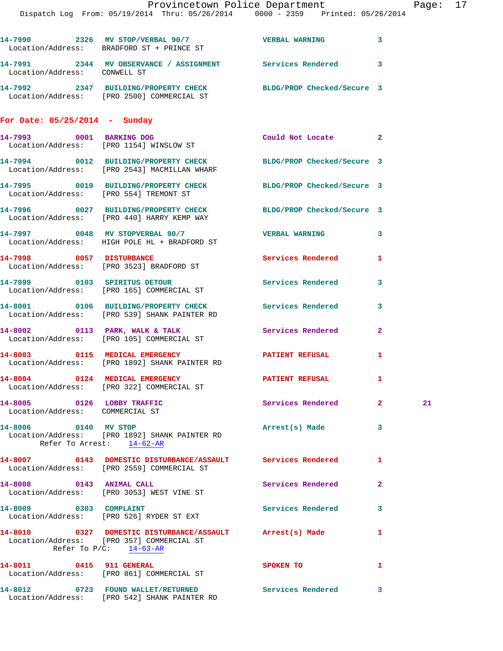|                                                               | Provincetown Police Department Page: 17<br>Dispatch Log From: 05/19/2014 Thru: 05/26/2014 0000 - 2359 Printed: 05/26/2014          |                        |              |    |  |
|---------------------------------------------------------------|------------------------------------------------------------------------------------------------------------------------------------|------------------------|--------------|----|--|
|                                                               | 14-7990 2326 MV STOP/VERBAL 90/7 VERBAL WARNING 3<br>Location/Address: BRADFORD ST + PRINCE ST                                     |                        |              |    |  |
| Location/Address: CONWELL ST                                  | 14-7991 2344 MV OBSERVANCE / ASSIGNMENT Services Rendered 3                                                                        |                        |              |    |  |
|                                                               | 14-7992 2347 BUILDING/PROPERTY CHECK BLDG/PROP Checked/Secure 3<br>Location/Address: [PRO 2500] COMMERCIAL ST                      |                        |              |    |  |
| For Date: $05/25/2014$ - Sunday                               |                                                                                                                                    |                        |              |    |  |
|                                                               | 14-7993 0001 BARKING DOG<br>Location/Address: [PRO 1154] WINSLOW ST                                                                | Could Not Locate 2     |              |    |  |
|                                                               | 14-7994 0012 BUILDING/PROPERTY CHECK BLDG/PROP Checked/Secure 3<br>Location/Address: [PRO 2543] MACMILLAN WHARF                    |                        |              |    |  |
|                                                               | 14-7995 0019 BUILDING/PROPERTY CHECK BLDG/PROP Checked/Secure 3<br>Location/Address: [PRO 554] TREMONT ST                          |                        |              |    |  |
|                                                               | 14-7996 0027 BUILDING/PROPERTY CHECK BLDG/PROP Checked/Secure 3<br>Location/Address: [PRO 440] HARRY KEMP WAY                      |                        |              |    |  |
|                                                               | 14-7997 0048 MV STOPVERBAL 90/7<br>Location/Address: HIGH POLE HL + BRADFORD ST                                                    | VERBAL WARNING 3       |              |    |  |
|                                                               | 14-7998 0057 DISTURBANCE<br>Location/Address: [PRO 3523] BRADFORD ST                                                               | Services Rendered 1    |              |    |  |
|                                                               | 14-7999 0103 SPIRITUS DETOUR<br>Location/Address: [PRO 165] COMMERCIAL ST                                                          | Services Rendered 3    |              |    |  |
|                                                               | 14-8001 0106 BUILDING/PROPERTY CHECK Services Rendered 3<br>Location/Address: [PRO 539] SHANK PAINTER RD                           |                        |              |    |  |
|                                                               | 14-8002 0113 PARK, WALK & TALK Services Rendered 2<br>Location/Address: [PRO 105] COMMERCIAL ST                                    |                        |              |    |  |
|                                                               | 14-8003 0115 MEDICAL EMERGENCY PATIENT REFUSAL<br>Location/Address: [PRO 1892] SHANK PAINTER RD                                    |                        | $\mathbf{1}$ |    |  |
|                                                               | 14-8004 0124 MEDICAL EMERGENCY<br>Location/Address: [PRO 322] COMMERCIAL ST                                                        | <b>PATIENT REFUSAL</b> | 1            |    |  |
| 14-8005 0126 LOBBY TRAFFIC<br>Location/Address: COMMERCIAL ST |                                                                                                                                    | Services Rendered 2    |              | 21 |  |
| 14-8006 0140 MV STOP                                          | Location/Address: [PRO 1892] SHANK PAINTER RD<br>Refer To Arrest: 14-62-AR                                                         | Arrest(s) Made         | 3            |    |  |
|                                                               | 14-8007 0143 DOMESTIC DISTURBANCE/ASSAULT Services Rendered<br>Location/Address: [PRO 2559] COMMERCIAL ST                          |                        | $\mathbf{1}$ |    |  |
|                                                               | 14-8008 0143 ANIMAL CALL<br>Location/Address: [PRO 3053] WEST VINE ST                                                              | Services Rendered 2    |              |    |  |
|                                                               | 14-8009 0303 COMPLAINT<br>Location/Address: [PRO 526] RYDER ST EXT                                                                 | Services Rendered      | 3            |    |  |
|                                                               | 14-8010 0327 DOMESTIC DISTURBANCE/ASSAULT Arrest(s) Made<br>Location/Address: [PRO 357] COMMERCIAL ST<br>Refer To $P/C$ : 14-63-AR |                        | $\mathbf{1}$ |    |  |
|                                                               | 14-8011 0415 911 GENERAL<br>Location/Address: [PRO 861] COMMERCIAL ST                                                              | SPOKEN TO              | 1            |    |  |

**14-8012 0723 FOUND WALLET/RETURNED Services Rendered 3** 

Location/Address: [PRO 542] SHANK PAINTER RD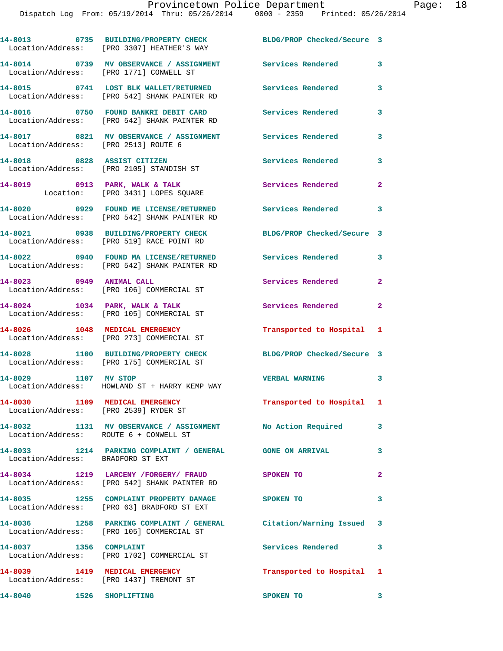|                                                                         | 14-8013 0735 BUILDING/PROPERTY CHECK<br>Location/Address: [PRO 3307] HEATHER'S WAY                              | BLDG/PROP Checked/Secure 3 |                         |
|-------------------------------------------------------------------------|-----------------------------------------------------------------------------------------------------------------|----------------------------|-------------------------|
|                                                                         | 14-8014 0739 MV OBSERVANCE / ASSIGNMENT Services Rendered<br>Location/Address: [PRO 1771] CONWELL ST            |                            | 3                       |
|                                                                         | 14-8015 0741 LOST BLK WALLET/RETURNED<br>Location/Address: [PRO 542] SHANK PAINTER RD                           | Services Rendered          | 3                       |
|                                                                         | 14-8016 0750 FOUND BANKRI DEBIT CARD<br>Location/Address: [PRO 542] SHANK PAINTER RD                            | <b>Services Rendered</b>   | 3                       |
| Location/Address: [PRO 2513] ROUTE 6                                    | 14-8017 0821 MV OBSERVANCE / ASSIGNMENT Services Rendered                                                       |                            | 3                       |
|                                                                         | 14-8018 0828 ASSIST CITIZEN<br>Location/Address: [PRO 2105] STANDISH ST                                         | <b>Services Rendered</b>   | 3                       |
|                                                                         | 14-8019 0913 PARK, WALK & TALK<br>Location: [PRO 3431] LOPES SQUARE                                             | Services Rendered          | $\mathbf{2}$            |
|                                                                         | 14-8020 0929 FOUND ME LICENSE/RETURNED Services Rendered 3<br>Location/Address: [PRO 542] SHANK PAINTER RD      |                            |                         |
|                                                                         | 14-8021 0938 BUILDING/PROPERTY CHECK<br>Location/Address: [PRO 519] RACE POINT RD                               | BLDG/PROP Checked/Secure 3 |                         |
|                                                                         | 14-8022 0940 FOUND MA LICENSE/RETURNED<br>Location/Address: [PRO 542] SHANK PAINTER RD                          | Services Rendered          | 3                       |
| 14-8023 0949 ANIMAL CALL                                                | Location/Address: [PRO 106] COMMERCIAL ST                                                                       | Services Rendered          | $\overline{2}$          |
|                                                                         | 14-8024 1034 PARK, WALK & TALK<br>Location/Address: [PRO 105] COMMERCIAL ST                                     | Services Rendered          | $\mathbf{2}$            |
| 14-8026 1048 MEDICAL EMERGENCY                                          | Location/Address: [PRO 273] COMMERCIAL ST                                                                       | Transported to Hospital 1  |                         |
|                                                                         | 14-8028 1100 BUILDING/PROPERTY CHECK<br>Location/Address: [PRO 175] COMMERCIAL ST                               | BLDG/PROP Checked/Secure 3 |                         |
| 14-8029 1107 MV STOP                                                    | Location/Address: HOWLAND ST + HARRY KEMP WAY                                                                   | <b>VERBAL WARNING</b>      | 3                       |
| 14-8030 1109 MEDICAL EMERGENCY<br>Location/Address: [PRO 2539] RYDER ST |                                                                                                                 | Transported to Hospital 1  |                         |
| Location/Address: ROUTE 6 + CONWELL ST                                  | 14-8032 1131 MV OBSERVANCE / ASSIGNMENT No Action Required 3                                                    |                            |                         |
| Location/Address: BRADFORD ST EXT                                       | 14-8033 1214 PARKING COMPLAINT / GENERAL GONE ON ARRIVAL                                                        |                            | $\mathbf{3}$            |
|                                                                         | 14-8034 1219 LARCENY / FORGERY / FRAUD SPOKEN TO<br>Location/Address: [PRO 542] SHANK PAINTER RD                |                            | $\overline{2}$          |
|                                                                         |                                                                                                                 |                            | 3                       |
|                                                                         | 14-8036 1258 PARKING COMPLAINT / GENERAL Citation/Warning Issued 3<br>Location/Address: [PRO 105] COMMERCIAL ST |                            |                         |
| 14-8037 1356 COMPLAINT                                                  | Location/Address: [PRO 1702] COMMERCIAL ST                                                                      | Services Rendered          | $\mathbf{3}$            |
|                                                                         | 14-8039 1419 MEDICAL EMERGENCY<br>Location/Address: [PRO 1437] TREMONT ST                                       | Transported to Hospital 1  |                         |
| 14-8040                                                                 | 1526 SHOPLIFTING                                                                                                | SPOKEN TO                  | $\overline{\mathbf{3}}$ |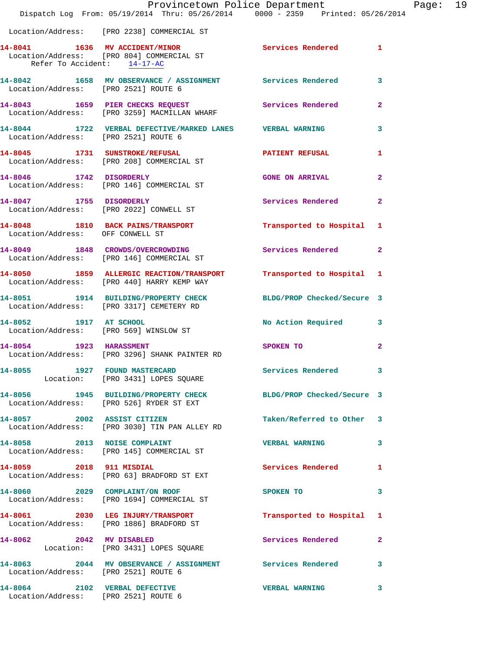|                                                                       | Provincetown Police Department<br>Dispatch Log From: 05/19/2014 Thru: 05/26/2014 0000 - 2359 Printed: 05/26/2014 |                            |                         |
|-----------------------------------------------------------------------|------------------------------------------------------------------------------------------------------------------|----------------------------|-------------------------|
|                                                                       | Location/Address: [PRO 2238] COMMERCIAL ST                                                                       |                            |                         |
| Refer To Accident: 14-17-AC                                           | 14-8041 1636 MV ACCIDENT/MINOR<br>Location/Address: [PRO 804] COMMERCIAL ST                                      | Services Rendered          | 1                       |
|                                                                       | 14-8042 1658 MV OBSERVANCE / ASSIGNMENT Services Rendered<br>Location/Address: [PRO 2521] ROUTE 6                |                            | 3                       |
|                                                                       | 14-8043 1659 PIER CHECKS REQUEST<br>Location/Address: [PRO 3259] MACMILLAN WHARF                                 | Services Rendered          | $\overline{\mathbf{2}}$ |
| Location/Address: [PRO 2521] ROUTE 6                                  | 14-8044 1722 VERBAL DEFECTIVE/MARKED LANES VERBAL WARNING                                                        |                            | 3                       |
|                                                                       | 14-8045 1731 SUNSTROKE/REFUSAL<br>Location/Address: [PRO 208] COMMERCIAL ST                                      | <b>PATIENT REFUSAL</b>     | 1                       |
|                                                                       | 14-8046 1742 DISORDERLY<br>Location/Address: [PRO 146] COMMERCIAL ST                                             | <b>GONE ON ARRIVAL</b>     | $\mathbf{2}$            |
| 14-8047 1755 DISORDERLY                                               | Location/Address: [PRO 2022] CONWELL ST                                                                          | <b>Services Rendered</b>   | $\overline{2}$          |
| Location/Address: OFF CONWELL ST                                      | 14-8048 1810 BACK PAINS/TRANSPORT                                                                                | Transported to Hospital    | 1                       |
|                                                                       | 14-8049 1848 CROWDS/OVERCROWDING Services Rendered<br>Location/Address: [PRO 146] COMMERCIAL ST                  |                            | $\overline{a}$          |
|                                                                       | 14-8050 1859 ALLERGIC REACTION/TRANSPORT Transported to Hospital<br>Location/Address: [PRO 440] HARRY KEMP WAY   |                            | 1                       |
|                                                                       | 14-8051 1914 BUILDING/PROPERTY CHECK BLDG/PROP Checked/Secure 3<br>Location/Address: [PRO 3317] CEMETERY RD      |                            |                         |
|                                                                       | 14-8052 1917 AT SCHOOL<br>Location/Address: [PRO 569] WINSLOW ST                                                 | <b>No Action Required</b>  | 3                       |
| 14-8054 1923 HARASSMENT                                               | Location/Address: [PRO 3296] SHANK PAINTER RD                                                                    | SPOKEN TO                  | $\mathbf{2}$            |
|                                                                       | 14-8055 1927 FOUND MASTERCARD<br>Location: [PRO 3431] LOPES SQUARE                                               | Services Rendered          | 3                       |
|                                                                       | 14-8056 1945 BUILDING/PROPERTY CHECK<br>Location/Address: [PRO 526] RYDER ST EXT                                 | BLDG/PROP Checked/Secure 3 |                         |
|                                                                       | 14-8057 2002 ASSIST CITIZEN<br>Location/Address: [PRO 3030] TIN PAN ALLEY RD                                     | Taken/Referred to Other    | 3                       |
| 14-8058 2013 NOISE COMPLAINT                                          | Location/Address: [PRO 145] COMMERCIAL ST                                                                        | <b>VERBAL WARNING</b>      | 3                       |
|                                                                       | 14-8059 2018 911 MISDIAL<br>Location/Address: [PRO 63] BRADFORD ST EXT                                           | Services Rendered          | 1                       |
|                                                                       | 14-8060 2029 COMPLAINT/ON ROOF<br>Location/Address: [PRO 1694] COMMERCIAL ST                                     | SPOKEN TO                  | 3                       |
|                                                                       | 14-8061 2030 LEG INJURY/TRANSPORT<br>Location/Address: [PRO 1886] BRADFORD ST                                    | Transported to Hospital    | 1                       |
| 14-8062 2042 MV DISABLED                                              | Location: [PRO 3431] LOPES SQUARE                                                                                | Services Rendered          | $\mathbf{2}$            |
| Location/Address: [PRO 2521] ROUTE 6                                  | 14-8063 2044 MV OBSERVANCE / ASSIGNMENT Services Rendered                                                        |                            | 3                       |
| 14-8064 2102 VERBAL DEFECTIVE<br>Location/Address: [PRO 2521] ROUTE 6 |                                                                                                                  | <b>VERBAL WARNING</b>      | 3                       |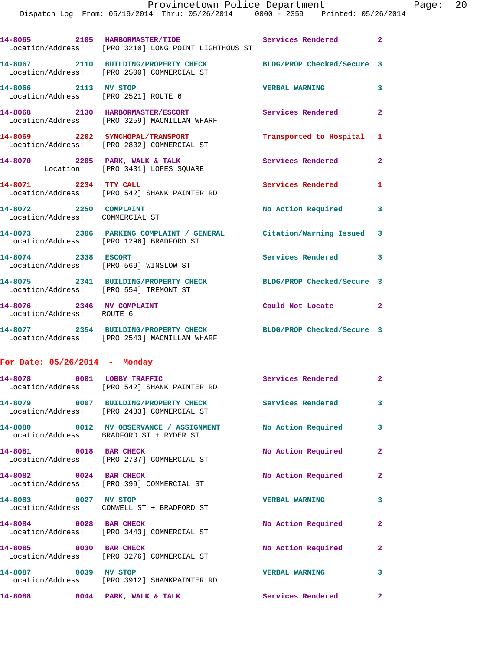|                                                              | 14-8065 2105 HARBORMASTER/TIDE Services Rendered 2<br>Location/Address: [PRO 3210] LONG POINT LIGHTHOUS ST      |                           |                |
|--------------------------------------------------------------|-----------------------------------------------------------------------------------------------------------------|---------------------------|----------------|
|                                                              | 14-8067 2110 BUILDING/PROPERTY CHECK BLDG/PROP Checked/Secure 3<br>Location/Address: [PRO 2500] COMMERCIAL ST   |                           |                |
| 14-8066 2113 MV STOP<br>Location/Address: [PRO 2521] ROUTE 6 |                                                                                                                 | <b>VERBAL WARNING</b>     | $\mathbf{3}$   |
|                                                              | 14-8068 2130 HARBORMASTER/ESCORT<br>Location/Address: [PRO 3259] MACMILLAN WHARF                                | Services Rendered         | $\mathbf{2}$   |
|                                                              | 14-8069 2202 SYNCHOPAL/TRANSPORT<br>Location/Address: [PRO 2832] COMMERCIAL ST                                  | Transported to Hospital 1 |                |
|                                                              | 14-8070 2205 PARK, WALK & TALK<br>Location: [PRO 3431] LOPES SQUARE                                             | Services Rendered         | $\overline{2}$ |
| 14-8071 2234 TTY CALL                                        | Location/Address: [PRO 542] SHANK PAINTER RD                                                                    | Services Rendered         | 1              |
| 14-8072 2250 COMPLAINT<br>Location/Address: COMMERCIAL ST    |                                                                                                                 | No Action Required 3      |                |
|                                                              | 14-8073 2306 PARKING COMPLAINT / GENERAL Citation/Warning Issued 3<br>Location/Address: [PRO 1296] BRADFORD ST  |                           |                |
| 14-8074 2338 ESCORT                                          | Location/Address: [PRO 569] WINSLOW ST                                                                          | Services Rendered 3       |                |
| Location/Address: [PRO 554] TREMONT ST                       | 14-8075 2341 BUILDING/PROPERTY CHECK BLDG/PROP Checked/Secure 3                                                 |                           |                |
| 14-8076 2346 MV COMPLAINT<br>Location/Address: ROUTE 6       |                                                                                                                 | Could Not Locate 2        |                |
|                                                              | 14-8077 2354 BUILDING/PROPERTY CHECK BLDG/PROP Checked/Secure 3<br>Location/Address: [PRO 2543] MACMILLAN WHARF |                           |                |
| For Date: $05/26/2014$ - Monday                              |                                                                                                                 |                           |                |
|                                                              | 14-8078 0001 LOBBY TRAFFIC<br>Location/Address: [PRO 542] SHANK PAINTER RD                                      | Services Rendered 2       |                |
|                                                              | 14-8079 0007 BUILDING/PROPERTY CHECK<br>Location/Address: [PRO 2483] COMMERCIAL ST                              | Services Rendered         | 3              |
|                                                              | 14-8080 0012 MV OBSERVANCE / ASSIGNMENT No Action Required<br>Location/Address: BRADFORD ST + RYDER ST          |                           | 3              |
| 14-8081 0018 BAR CHECK                                       | Location/Address: [PRO 2737] COMMERCIAL ST                                                                      | No Action Required        | $\mathbf{2}$   |
| 14-8082 0024 BAR CHECK                                       | Location/Address: [PRO 399] COMMERCIAL ST                                                                       | No Action Required        | $\mathbf{2}$   |
| 14-8083 0027 MV STOP                                         | Location/Address: CONWELL ST + BRADFORD ST                                                                      | <b>VERBAL WARNING</b>     | 3              |
| 14-8084 0028 BAR CHECK                                       | Location/Address: [PRO 3443] COMMERCIAL ST                                                                      | No Action Required        | $\mathbf{2}$   |
| 14-8085 0030 BAR CHECK                                       | Location/Address: [PRO 3276] COMMERCIAL ST                                                                      | No Action Required        | $\mathbf{2}$   |
| 14-8087 0039 MV STOP                                         | Location/Address: [PRO 3912] SHANKPAINTER RD                                                                    | <b>VERBAL WARNING</b>     | 3              |
|                                                              | 14-8088 0044 PARK, WALK & TALK                                                                                  | Services Rendered         | $\mathbf{2}$   |